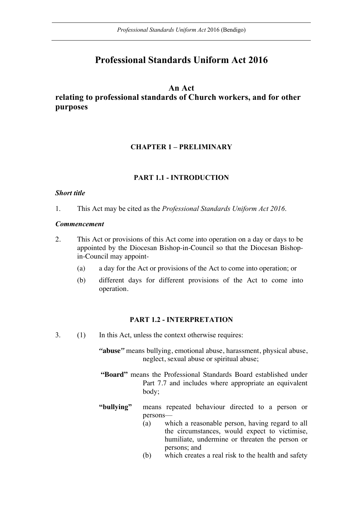# **Professional Standards Uniform Act 2016**

## **An Act**

**relating to professional standards of Church workers, and for other purposes**

## **CHAPTER 1 – PRELIMINARY**

## **PART 1.1 - INTRODUCTION**

#### *Short title*

1. This Act may be cited as the *Professional Standards Uniform Act 2016*.

#### *Commencement*

- 2. This Act or provisions of this Act come into operation on a day or days to be appointed by the Diocesan Bishop-in-Council so that the Diocesan Bishopin-Council may appoint-
	- (a) a day for the Act or provisions of the Act to come into operation; or
	- (b) different days for different provisions of the Act to come into operation.

#### **PART 1.2 - INTERPRETATION**

- 3. (1) In this Act, unless the context otherwise requires:
	- *"***abuse***"* means bullying, emotional abuse, harassment, physical abuse, neglect, sexual abuse or spiritual abuse;
	- **"Board"** means the Professional Standards Board established under Part 7.7 and includes where appropriate an equivalent body;
	- **"bullying"** means repeated behaviour directed to a person or persons—
		- (a) which a reasonable person, having regard to all the circumstances, would expect to victimise, humiliate, undermine or threaten the person or persons; and
		- (b) which creates a real risk to the health and safety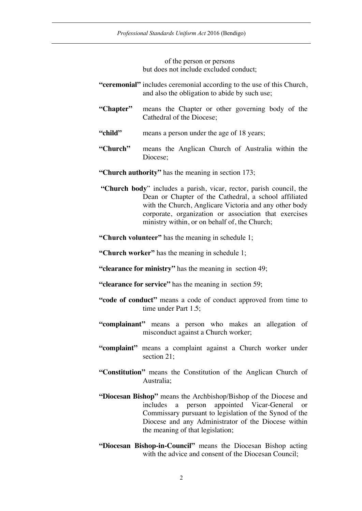of the person or persons but does not include excluded conduct;

- **"ceremonial"** includes ceremonial according to the use of this Church, and also the obligation to abide by such use;
- **"Chapter"** means the Chapter or other governing body of the Cathedral of the Diocese;
- "child" **means a person under the age of 18 years:**
- **"Church"** means the Anglican Church of Australia within the Diocese;
- **"Church authority"** has the meaning in section 173;
- **"Church body**" includes a parish, vicar, rector, parish council, the Dean or Chapter of the Cathedral, a school affiliated with the Church, Anglicare Victoria and any other body corporate, organization or association that exercises ministry within, or on behalf of, the Church;
- **"Church volunteer"** has the meaning in schedule 1;
- **"Church worker"** has the meaning in schedule 1;
- **"clearance for ministry"** has the meaning in section 49;
- **"clearance for service"** has the meaning in section 59;
- **"code of conduct"** means a code of conduct approved from time to time under Part 1.5;
- **"complainant"** means a person who makes an allegation of misconduct against a Church worker;
- **"complaint"** means a complaint against a Church worker under section 21:
- **"Constitution"** means the Constitution of the Anglican Church of Australia;
- **"Diocesan Bishop"** means the Archbishop/Bishop of the Diocese and includes a person appointed Vicar-General or Commissary pursuant to legislation of the Synod of the Diocese and any Administrator of the Diocese within the meaning of that legislation;
- **"Diocesan Bishop-in-Council"** means the Diocesan Bishop acting with the advice and consent of the Diocesan Council;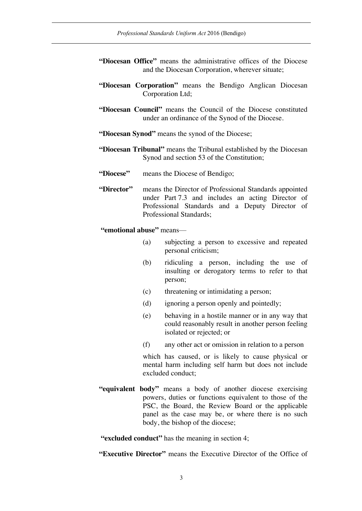- **"Diocesan Office"** means the administrative offices of the Diocese and the Diocesan Corporation, wherever situate;
- **"Diocesan Corporation"** means the Bendigo Anglican Diocesan Corporation Ltd;
- **"Diocesan Council"** means the Council of the Diocese constituted under an ordinance of the Synod of the Diocese.
- **"Diocesan Synod"** means the synod of the Diocese;
- **"Diocesan Tribunal"** means the Tribunal established by the Diocesan Synod and section 53 of the Constitution;
- **"Diocese"** means the Diocese of Bendigo;
- **"Director"** means the Director of Professional Standards appointed under Part 7.3 and includes an acting Director of Professional Standards and a Deputy Director of Professional Standards;

**"emotional abuse"** means—

- (a) subjecting a person to excessive and repeated personal criticism;
- (b) ridiculing a person, including the use of insulting or derogatory terms to refer to that person;
- (c) threatening or intimidating a person;
- (d) ignoring a person openly and pointedly;
- (e) behaving in a hostile manner or in any way that could reasonably result in another person feeling isolated or rejected; or
- (f) any other act or omission in relation to a person

which has caused, or is likely to cause physical or mental harm including self harm but does not include excluded conduct;

**"equivalent body"** means a body of another diocese exercising powers, duties or functions equivalent to those of the PSC, the Board, the Review Board or the applicable panel as the case may be, or where there is no such body, the bishop of the diocese;

**"excluded conduct"** has the meaning in section 4;

**"Executive Director"** means the Executive Director of the Office of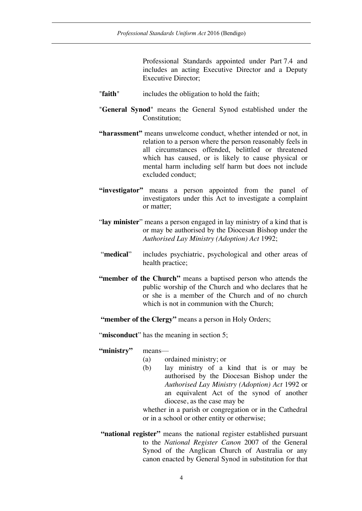Professional Standards appointed under Part 7.4 and includes an acting Executive Director and a Deputy Executive Director;

- "**faith**" includes the obligation to hold the faith;
- "**General Synod**" means the General Synod established under the Constitution<sup>.</sup>
- **"harassment"** means unwelcome conduct, whether intended or not, in relation to a person where the person reasonably feels in all circumstances offended, belittled or threatened which has caused, or is likely to cause physical or mental harm including self harm but does not include excluded conduct;
- **"investigator"** means a person appointed from the panel of investigators under this Act to investigate a complaint or matter;
- "**lay minister**" means a person engaged in lay ministry of a kind that is or may be authorised by the Diocesan Bishop under the *Authorised Lay Ministry (Adoption) Act* 1992;
- "**medical**" includes psychiatric, psychological and other areas of health practice;
- **"member of the Church"** means a baptised person who attends the public worship of the Church and who declares that he or she is a member of the Church and of no church which is not in communion with the Church;
- **"member of the Clergy"** means a person in Holy Orders;

"**misconduct**" has the meaning in section 5;

#### **"ministry"** means—

- (a) ordained ministry; or
- (b) lay ministry of a kind that is or may be authorised by the Diocesan Bishop under the *Authorised Lay Ministry (Adoption) Act* 1992 or an equivalent Act of the synod of another diocese, as the case may be

whether in a parish or congregation or in the Cathedral or in a school or other entity or otherwise;

**"national register"** means the national register established pursuant to the *National Register Canon* 2007 of the General Synod of the Anglican Church of Australia or any canon enacted by General Synod in substitution for that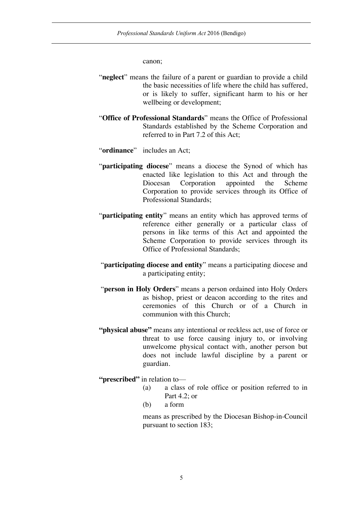canon;

- "**neglect**" means the failure of a parent or guardian to provide a child the basic necessities of life where the child has suffered, or is likely to suffer, significant harm to his or her wellbeing or development;
- "**Office of Professional Standards**" means the Office of Professional Standards established by the Scheme Corporation and referred to in Part 7.2 of this Act;
- "**ordinance**" includes an Act;
- "**participating diocese**" means a diocese the Synod of which has enacted like legislation to this Act and through the Diocesan Corporation appointed the Scheme Corporation to provide services through its Office of Professional Standards;
- "**participating entity**" means an entity which has approved terms of reference either generally or a particular class of persons in like terms of this Act and appointed the Scheme Corporation to provide services through its Office of Professional Standards;
- "**participating diocese and entity**" means a participating diocese and a participating entity;
- "**person in Holy Orders**" means a person ordained into Holy Orders as bishop, priest or deacon according to the rites and ceremonies of this Church or of a Church in communion with this Church;
- **"physical abuse"** means any intentional or reckless act, use of force or threat to use force causing injury to, or involving unwelcome physical contact with, another person but does not include lawful discipline by a parent or guardian.

**"prescribed"** in relation to—

- (a) a class of role office or position referred to in Part 4.2; or
- (b) a form

means as prescribed by the Diocesan Bishop-in-Council pursuant to section 183;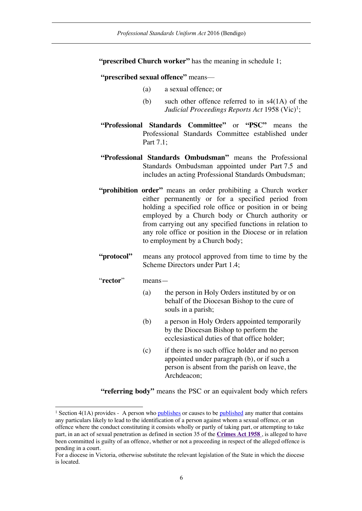**"prescribed Church worker"** has the meaning in schedule 1;

**"prescribed sexual offence"** means—

- (a) a sexual offence; or
- (b) such other offence referred to in s4(1A) of the *Judicial Proceedings Reports Act* 1958 (Vic)<sup>1</sup>;
- **"Professional Standards Committee"** or **"PSC"** means the Professional Standards Committee established under Part 7.1;
- **"Professional Standards Ombudsman"** means the Professional Standards Ombudsman appointed under Part 7.5 and includes an acting Professional Standards Ombudsman;
- **"prohibition order"** means an order prohibiting a Church worker either permanently or for a specified period from holding a specified role office or position in or being employed by a Church body or Church authority or from carrying out any specified functions in relation to any role office or position in the Diocese or in relation to employment by a Church body;
- **"protocol"** means any protocol approved from time to time by the Scheme Directors under Part 1.4;
- "**rector**" means—
	- (a) the person in Holy Orders instituted by or on behalf of the Diocesan Bishop to the cure of souls in a parish;
	- (b) a person in Holy Orders appointed temporarily by the Diocesan Bishop to perform the ecclesiastical duties of that office holder;
	- (c) if there is no such office holder and no person appointed under paragraph (b), or if such a person is absent from the parish on leave, the Archdeacon;

**"referring body"** means the PSC or an equivalent body which refers

<sup>&</sup>lt;sup>1</sup> Section 4(1A) provides - A person who publishes or causes to be published any matter that contains any particulars likely to lead to the identification of a person against whom a sexual offence, or an offence where the conduct constituting it consists wholly or partly of taking part, or attempting to take part, in an act of sexual penetration as defined in section 35 of the **Crimes Act 1958** , is alleged to have been committed is guilty of an offence, whether or not a proceeding in respect of the alleged offence is pending in a court.

For a diocese in Victoria, otherwise substitute the relevant legislation of the State in which the diocese is located.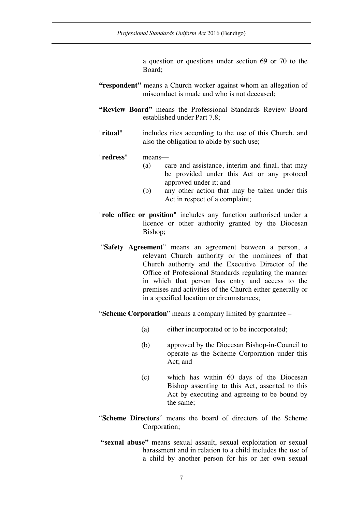a question or questions under section 69 or 70 to the Board;

- "respondent" means a Church worker against whom an allegation of misconduct is made and who is not deceased;
- **"Review Board"** means the Professional Standards Review Board established under Part 7.8;
- "**ritual**" includes rites according to the use of this Church, and also the obligation to abide by such use;

"**redress**" means—

- (a) care and assistance, interim and final, that may be provided under this Act or any protocol approved under it; and
- (b) any other action that may be taken under this Act in respect of a complaint;
- "**role office or position**" includes any function authorised under a licence or other authority granted by the Diocesan Bishop;
- "**Safety Agreement**" means an agreement between a person, a relevant Church authority or the nominees of that Church authority and the Executive Director of the Office of Professional Standards regulating the manner in which that person has entry and access to the premises and activities of the Church either generally or in a specified location or circumstances;

"**Scheme Corporation**" means a company limited by guarantee –

- (a) either incorporated or to be incorporated;
- (b) approved by the Diocesan Bishop-in-Council to operate as the Scheme Corporation under this Act; and
- (c) which has within 60 days of the Diocesan Bishop assenting to this Act, assented to this Act by executing and agreeing to be bound by the same;
- "**Scheme Directors**" means the board of directors of the Scheme Corporation;
- **"sexual abuse"** means sexual assault, sexual exploitation or sexual harassment and in relation to a child includes the use of a child by another person for his or her own sexual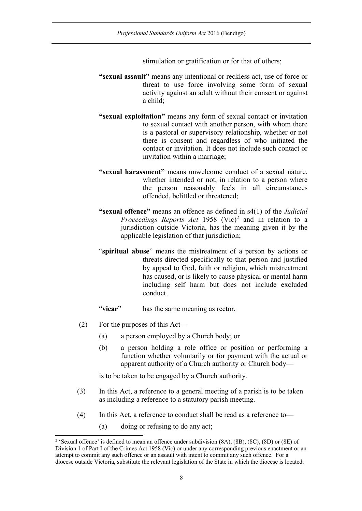stimulation or gratification or for that of others;

- **"sexual assault"** means any intentional or reckless act, use of force or threat to use force involving some form of sexual activity against an adult without their consent or against a child;
- **"sexual exploitation"** means any form of sexual contact or invitation to sexual contact with another person, with whom there is a pastoral or supervisory relationship, whether or not there is consent and regardless of who initiated the contact or invitation. It does not include such contact or invitation within a marriage;
- **"sexual harassment"** means unwelcome conduct of a sexual nature, whether intended or not, in relation to a person where the person reasonably feels in all circumstances offended, belittled or threatened;
- **"sexual offence"** means an offence as defined in s4(1) of the *Judicial Proceedings Reports Act* 1958 (Vic) <sup>2</sup> and in relation to a jurisdiction outside Victoria, has the meaning given it by the applicable legislation of that jurisdiction;
- "**spiritual abuse**" means the mistreatment of a person by actions or threats directed specifically to that person and justified by appeal to God, faith or religion, which mistreatment has caused, or is likely to cause physical or mental harm including self harm but does not include excluded conduct.
- "**vicar**" has the same meaning as rector.
- (2) For the purposes of this Act—
	- (a) a person employed by a Church body; or
	- (b) a person holding a role office or position or performing a function whether voluntarily or for payment with the actual or apparent authority of a Church authority or Church body—

is to be taken to be engaged by a Church authority.

- (3) In this Act, a reference to a general meeting of a parish is to be taken as including a reference to a statutory parish meeting.
- (4) In this Act, a reference to conduct shall be read as a reference to—
	- (a) doing or refusing to do any act;

 <sup>2</sup> 'Sexual offence' is defined to mean an offence under subdivision (8A), (8B), (8C), (8D) or (8E) of Division 1 of Part I of the Crimes Act 1958 (Vic) or under any corresponding previous enactment or an attempt to commit any such offence or an assault with intent to commit any such offence. For a diocese outside Victoria, substitute the relevant legislation of the State in which the diocese is located.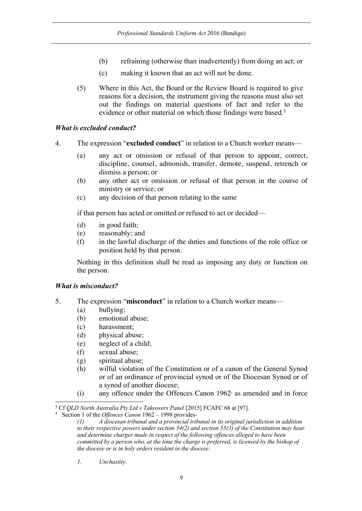- (b) refraining (otherwise than inadvertently) from doing an act; or
- (c) making it known that an act will not be done.
- (5) Where in this Act, the Board or the Review Board is required to give reasons for a decision, the instrument giving the reasons must also set out the findings on material questions of fact and refer to the evidence or other material on which those findings were based.<sup>3</sup>

## *What is excluded conduct?*

- 4. The expression "**excluded conduct**" in relation to a Church worker means—
	- (a) any act or omission or refusal of that person to appoint, correct, discipline, counsel, admonish, transfer, demote, suspend, retrench or dismiss a person; or
	- (b) any other act or omission or refusal of that person in the course of ministry or service; or
	- (c) any decision of that person relating to the same

if that person has acted or omitted or refused to act or decided—

- (d) in good faith;
- (e) reasonably; and
- (f) in the lawful discharge of the duties and functions of the role office or position held by that person.

Nothing in this definition shall be read as imposing any duty or function on the person.

## *What is misconduct?*

- 5. The expression "**misconduct**" in relation to a Church worker means—
	- (a) bullying;
	- (b) emotional abuse;
	- (c) harassment;
	- (d) physical abuse;
	- (e) neglect of a child;
	- (f) sexual abuse;
	- (g) spiritual abuse;
	- (h) wilful violation of the Constitution or of a canon of the General Synod or of an ordinance of provincial synod or of the Diocesan Synod or of a synod of another diocese;
	- $(i)$  any offence under the Offences Canon 1962 $\alpha$  as amended and in force

*1. Unchastity.*

 <sup>3</sup> Cf *QLD North Australia Pty Ltd v Takeovers Panel* [2015] FCAFC 68 at [97].

<sup>4</sup> Section 1 of the *Offences Canon* 1962 – 1998 provides-

*<sup>(1)</sup> A diocesan tribunal and a provincial tribunal in its original jurisdiction in addition to their respective powers under section 54(2) and section 55(3) of the Constitution may hear and determine charges made in respect of the following offences alleged to have been committed by a person who, at the time the charge is preferred, is licensed by the bishop of the diocese or is in holy orders resident in the diocese:*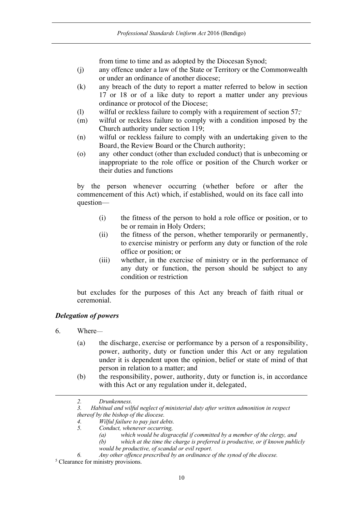from time to time and as adopted by the Diocesan Synod;

- (j) any offence under a law of the State or Territory or the Commonwealth or under an ordinance of another diocese;
- (k) any breach of the duty to report a matter referred to below in section 17 or 18 or of a like duty to report a matter under any previous ordinance or protocol of the Diocese;
- (l) wilful or reckless failure to comply with a requirement of section  $57$ ;
- (m) wilful or reckless failure to comply with a condition imposed by the Church authority under section 119;
- (n) wilful or reckless failure to comply with an undertaking given to the Board, the Review Board or the Church authority;
- (o) any other conduct (other than excluded conduct) that is unbecoming or inappropriate to the role office or position of the Church worker or their duties and functions

by the person whenever occurring (whether before or after the commencement of this Act) which, if established, would on its face call into question—

- (i) the fitness of the person to hold a role office or position, or to be or remain in Holy Orders;
- (ii) the fitness of the person, whether temporarily or permanently, to exercise ministry or perform any duty or function of the role office or position; or
- (iii) whether, in the exercise of ministry or in the performance of any duty or function, the person should be subject to any condition or restriction

but excludes for the purposes of this Act any breach of faith ritual or ceremonial.

## *Delegation of powers*

6. Where—

-

- (a) the discharge, exercise or performance by a person of a responsibility, power, authority, duty or function under this Act or any regulation under it is dependent upon the opinion, belief or state of mind of that person in relation to a matter; and
- (b) the responsibility, power, authority, duty or function is, in accordance with this Act or any regulation under it, delegated,
- *2. Drunkenness.*

*<sup>3.</sup> Habitual and wilful neglect of ministerial duty after written admonition in respect thereof by the bishop of the diocese.*

*<sup>4.</sup> Wilful failure to pay just debts.*

*<sup>5.</sup> Conduct, whenever occurring,* 

*<sup>(</sup>a) which would be disgraceful if committed by a member of the clergy, and*

*<sup>(</sup>b) which at the time the charge is preferred is productive, or if known publicly would be productive, of scandal or evil report.*

*<sup>6.</sup> Any other offence prescribed by an ordinance of the synod of the diocese.* <sup>5</sup> Clearance for ministry provisions.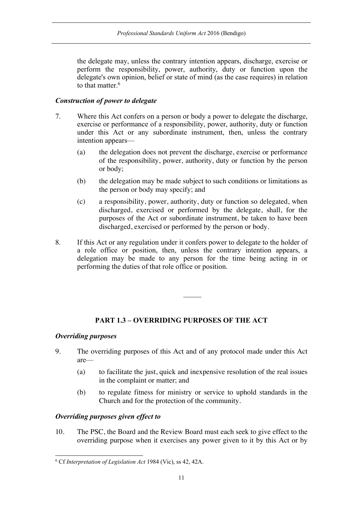the delegate may, unless the contrary intention appears, discharge, exercise or perform the responsibility, power, authority, duty or function upon the delegate's own opinion, belief or state of mind (as the case requires) in relation to that matter.<sup>6</sup>

## *Construction of power to delegate*

- 7. Where this Act confers on a person or body a power to delegate the discharge, exercise or performance of a responsibility, power, authority, duty or function under this Act or any subordinate instrument, then, unless the contrary intention appears—
	- (a) the delegation does not prevent the discharge, exercise or performance of the responsibility, power, authority, duty or function by the person or body;
	- (b) the delegation may be made subject to such conditions or limitations as the person or body may specify; and
	- (c) a responsibility, power, authority, duty or function so delegated, when discharged, exercised or performed by the delegate, shall, for the purposes of the Act or subordinate instrument, be taken to have been discharged, exercised or performed by the person or body.
- 8. If this Act or any regulation under it confers power to delegate to the holder of a role office or position, then, unless the contrary intention appears, a delegation may be made to any person for the time being acting in or performing the duties of that role office or position.

## **PART 1.3 – OVERRIDING PURPOSES OF THE ACT**

## *Overriding purposes*

- 9. The overriding purposes of this Act and of any protocol made under this Act are—
	- (a) to facilitate the just, quick and inexpensive resolution of the real issues in the complaint or matter; and
	- (b) to regulate fitness for ministry or service to uphold standards in the Church and for the protection of the community.

## *Overriding purposes given effect to*

10. The PSC, the Board and the Review Board must each seek to give effect to the overriding purpose when it exercises any power given to it by this Act or by

 <sup>6</sup> Cf *Interpretation of Legislation Act* 1984 (Vic), ss 42, 42A.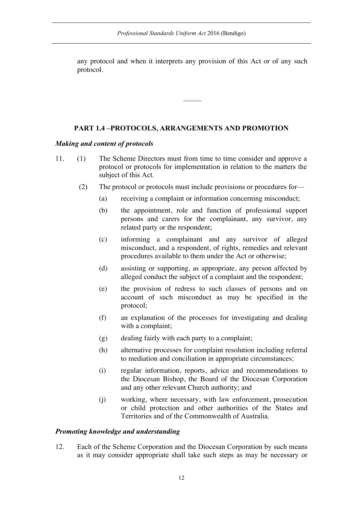any protocol and when it interprets any provision of this Act or of any such protocol.

 $\mathcal{L}$ 

#### **PART 1.4 –PROTOCOLS, ARRANGEMENTS AND PROMOTION**

#### *Making and content of protocols*

- 11. (1) The Scheme Directors must from time to time consider and approve a protocol or protocols for implementation in relation to the matters the subject of this Act.
	- (2) The protocol or protocols must include provisions or procedures for—
		- (a) receiving a complaint or information concerning misconduct;
		- (b) the appointment, role and function of professional support persons and carers for the complainant, any survivor, any related party or the respondent;
		- (c) informing a complainant and any survivor of alleged misconduct, and a respondent, of rights, remedies and relevant procedures available to them under the Act or otherwise;
		- (d) assisting or supporting, as appropriate, any person affected by alleged conduct the subject of a complaint and the respondent;
		- (e) the provision of redress to such classes of persons and on account of such misconduct as may be specified in the protocol;
		- (f) an explanation of the processes for investigating and dealing with a complaint;
		- (g) dealing fairly with each party to a complaint;
		- (h) alternative processes for complaint resolution including referral to mediation and conciliation in appropriate circumstances;
		- (i) regular information, reports, advice and recommendations to the Diocesan Bishop, the Board of the Diocesan Corporation and any other relevant Church authority; and
		- (j) working, where necessary, with law enforcement, prosecution or child protection and other authorities of the States and Territories and of the Commonwealth of Australia.

#### *Promoting knowledge and understanding*

12. Each of the Scheme Corporation and the Diocesan Corporation by such means as it may consider appropriate shall take such steps as may be necessary or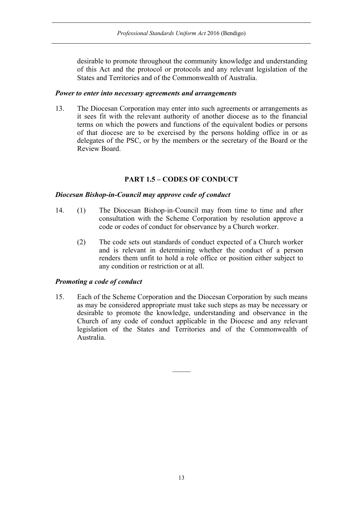desirable to promote throughout the community knowledge and understanding of this Act and the protocol or protocols and any relevant legislation of the States and Territories and of the Commonwealth of Australia.

#### *Power to enter into necessary agreements and arrangements*

13. The Diocesan Corporation may enter into such agreements or arrangements as it sees fit with the relevant authority of another diocese as to the financial terms on which the powers and functions of the equivalent bodies or persons of that diocese are to be exercised by the persons holding office in or as delegates of the PSC, or by the members or the secretary of the Board or the Review Board.

## **PART 1.5 – CODES OF CONDUCT**

## *Diocesan Bishop-in-Council may approve code of conduct*

- 14. (1) The Diocesan Bishop-in-Council may from time to time and after consultation with the Scheme Corporation by resolution approve a code or codes of conduct for observance by a Church worker.
	- (2) The code sets out standards of conduct expected of a Church worker and is relevant in determining whether the conduct of a person renders them unfit to hold a role office or position either subject to any condition or restriction or at all.

## *Promoting a code of conduct*

15. Each of the Scheme Corporation and the Diocesan Corporation by such means as may be considered appropriate must take such steps as may be necessary or desirable to promote the knowledge, understanding and observance in the Church of any code of conduct applicable in the Diocese and any relevant legislation of the States and Territories and of the Commonwealth of Australia.

 $\mathcal{L}$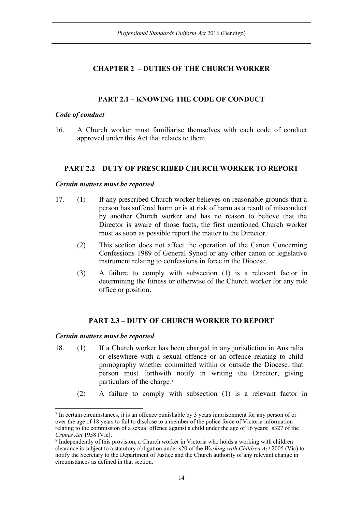## **CHAPTER 2 – DUTIES OF THE CHURCH WORKER**

## **PART 2.1 – KNOWING THE CODE OF CONDUCT**

#### *Code of conduct*

16. A Church worker must familiarise themselves with each code of conduct approved under this Act that relates to them.

## **PART 2.2 – DUTY OF PRESCRIBED CHURCH WORKER TO REPORT**

#### *Certain matters must be reported*

- 17. (1) If any prescribed Church worker believes on reasonable grounds that a person has suffered harm or is at risk of harm as a result of misconduct by another Church worker and has no reason to believe that the Director is aware of those facts, the first mentioned Church worker must as soon as possible report the matter to the Director.<sup>7</sup>
	- (2) This section does not affect the operation of the Canon Concerning Confessions 1989 of General Synod or any other canon or legislative instrument relating to confessions in force in the Diocese.
	- (3) A failure to comply with subsection (1) is a relevant factor in determining the fitness or otherwise of the Church worker for any role office or position.

## **PART 2.3 – DUTY OF CHURCH WORKER TO REPORT**

## *Certain matters must be reported*

- 18. (1) If a Church worker has been charged in any jurisdiction in Australia or elsewhere with a sexual offence or an offence relating to child pornography whether committed within or outside the Diocese, that person must forthwith notify in writing the Director, giving particulars of the charge.<sup>8</sup>
	- (2) A failure to comply with subsection (1) is a relevant factor in

 <sup>7</sup> In certain circumstances, it is an offence punishable by 3 years imprisonment for any person of or over the age of 18 years to fail to disclose to a member of the police force of Victoria information relating to the commission of a sexual offence against a child under the age of 16 years: s327 of the *Crimes Act* 1958 (Vic).

<sup>8</sup> Independently of this provision, a Church worker in Victoria who holds a working with children clearance is subject to a statutory obligation under s20 of the *Working with Children Act* 2005 (Vic) to notify the Secretary to the Department of Justice and the Church authority of any relevant change in circumstances as defined in that section.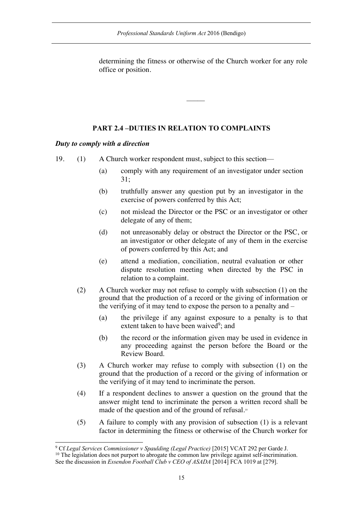determining the fitness or otherwise of the Church worker for any role office or position.

 $\mathcal{L}$ 

## **PART 2.4 –DUTIES IN RELATION TO COMPLAINTS**

## *Duty to comply with a direction*

19. (1) A Church worker respondent must, subject to this section—

- (a) comply with any requirement of an investigator under section 31;
- (b) truthfully answer any question put by an investigator in the exercise of powers conferred by this Act;
- (c) not mislead the Director or the PSC or an investigator or other delegate of any of them;
- (d) not unreasonably delay or obstruct the Director or the PSC, or an investigator or other delegate of any of them in the exercise of powers conferred by this Act; and
- (e) attend a mediation, conciliation, neutral evaluation or other dispute resolution meeting when directed by the PSC in relation to a complaint.
- (2) A Church worker may not refuse to comply with subsection (1) on the ground that the production of a record or the giving of information or the verifying of it may tend to expose the person to a penalty and –
	- (a) the privilege if any against exposure to a penalty is to that extent taken to have been waived<sup>9</sup>; and
	- (b) the record or the information given may be used in evidence in any proceeding against the person before the Board or the Review Board.
- (3) A Church worker may refuse to comply with subsection (1) on the ground that the production of a record or the giving of information or the verifying of it may tend to incriminate the person.
- (4) If a respondent declines to answer a question on the ground that the answer might tend to incriminate the person a written record shall be made of the question and of the ground of refusal.<sup>10</sup>
- (5) A failure to comply with any provision of subsection (1) is a relevant factor in determining the fitness or otherwise of the Church worker for

 <sup>9</sup> Cf *Legal Services Commissioner v Spaulding (Legal Practice)* [2015] VCAT 292 per Garde J.  $10$  The legislation does not purport to abrogate the common law privilege against self-incrimination.

See the discussion in *Essendon Football Club v CEO of ASADA* [2014] FCA 1019 at [279].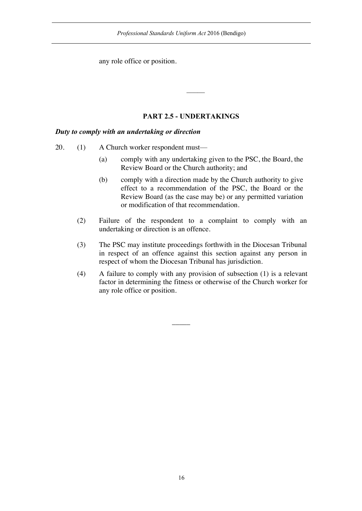any role office or position.

## **PART 2.5 - UNDERTAKINGS**

## *Duty to comply with an undertaking or direction*

- 20. (1) A Church worker respondent must—
	- (a) comply with any undertaking given to the PSC, the Board, the Review Board or the Church authority; and
	- (b) comply with a direction made by the Church authority to give effect to a recommendation of the PSC, the Board or the Review Board (as the case may be) or any permitted variation or modification of that recommendation.
	- (2) Failure of the respondent to a complaint to comply with an undertaking or direction is an offence.
	- (3) The PSC may institute proceedings forthwith in the Diocesan Tribunal in respect of an offence against this section against any person in respect of whom the Diocesan Tribunal has jurisdiction.
	- (4) A failure to comply with any provision of subsection (1) is a relevant factor in determining the fitness or otherwise of the Church worker for any role office or position.

 $\overline{\phantom{a}}$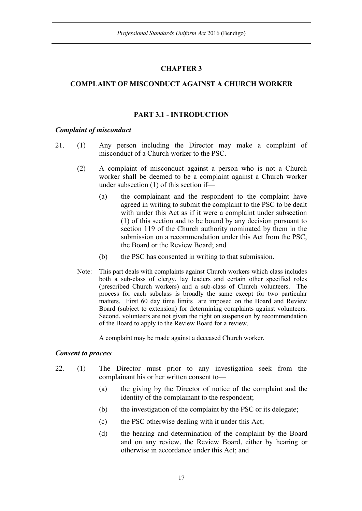## **CHAPTER 3**

## **COMPLAINT OF MISCONDUCT AGAINST A CHURCH WORKER**

## **PART 3.1 - INTRODUCTION**

#### *Complaint of misconduct*

- 21. (1) Any person including the Director may make a complaint of misconduct of a Church worker to the PSC.
	- (2) A complaint of misconduct against a person who is not a Church worker shall be deemed to be a complaint against a Church worker under subsection (1) of this section if—
		- (a) the complainant and the respondent to the complaint have agreed in writing to submit the complaint to the PSC to be dealt with under this Act as if it were a complaint under subsection (1) of this section and to be bound by any decision pursuant to section 119 of the Church authority nominated by them in the submission on a recommendation under this Act from the PSC, the Board or the Review Board; and
		- (b) the PSC has consented in writing to that submission.
	- Note: This part deals with complaints against Church workers which class includes both a sub-class of clergy, lay leaders and certain other specified roles (prescribed Church workers) and a sub-class of Church volunteers. The process for each subclass is broadly the same except for two particular matters. First 60 day time limits are imposed on the Board and Review Board (subject to extension) for determining complaints against volunteers. Second, volunteers are not given the right on suspension by recommendation of the Board to apply to the Review Board for a review.

A complaint may be made against a deceased Church worker.

#### *Consent to process*

- 22. (1) The Director must prior to any investigation seek from the complainant his or her written consent to—
	- (a) the giving by the Director of notice of the complaint and the identity of the complainant to the respondent;
	- (b) the investigation of the complaint by the PSC or its delegate;
	- (c) the PSC otherwise dealing with it under this Act;
	- (d) the hearing and determination of the complaint by the Board and on any review, the Review Board, either by hearing or otherwise in accordance under this Act; and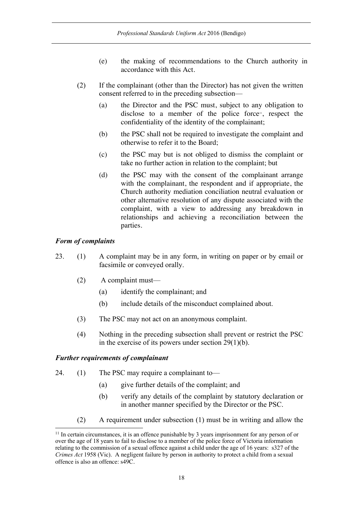- (e) the making of recommendations to the Church authority in accordance with this Act.
- (2) If the complainant (other than the Director) has not given the written consent referred to in the preceding subsection—
	- (a) the Director and the PSC must, subject to any obligation to disclose to a member of the police force<sup> $n$ </sup>, respect the confidentiality of the identity of the complainant;
	- (b) the PSC shall not be required to investigate the complaint and otherwise to refer it to the Board;
	- (c) the PSC may but is not obliged to dismiss the complaint or take no further action in relation to the complaint; but
	- (d) the PSC may with the consent of the complainant arrange with the complainant, the respondent and if appropriate, the Church authority mediation conciliation neutral evaluation or other alternative resolution of any dispute associated with the complaint, with a view to addressing any breakdown in relationships and achieving a reconciliation between the parties.

## *Form of complaints*

- 23. (1) A complaint may be in any form, in writing on paper or by email or facsimile or conveyed orally.
	- (2) A complaint must—
		- (a) identify the complainant; and
		- (b) include details of the misconduct complained about.
	- (3) The PSC may not act on an anonymous complaint.
	- (4) Nothing in the preceding subsection shall prevent or restrict the PSC in the exercise of its powers under section 29(1)(b).

## *Further requirements of complainant*

- 24. (1) The PSC may require a complainant to—
	- (a) give further details of the complaint; and
	- (b) verify any details of the complaint by statutory declaration or in another manner specified by the Director or the PSC.
	- (2) A requirement under subsection (1) must be in writing and allow the

<sup>&</sup>lt;sup>11</sup> In certain circumstances, it is an offence punishable by 3 years imprisonment for any person of or over the age of 18 years to fail to disclose to a member of the police force of Victoria information relating to the commission of a sexual offence against a child under the age of 16 years: s327 of the *Crimes Act* 1958 (Vic). A negligent failure by person in authority to protect a child from a sexual offence is also an offence: s49C.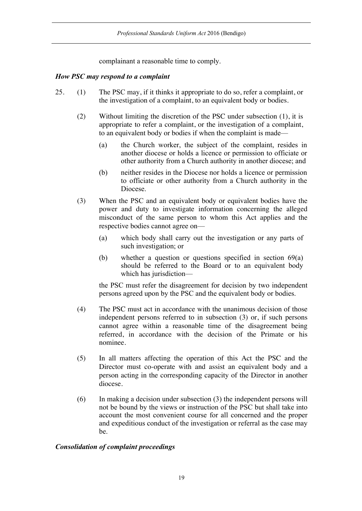complainant a reasonable time to comply.

## *How PSC may respond to a complaint*

- 25. (1) The PSC may, if it thinks it appropriate to do so, refer a complaint, or the investigation of a complaint, to an equivalent body or bodies.
	- (2) Without limiting the discretion of the PSC under subsection (1), it is appropriate to refer a complaint, or the investigation of a complaint, to an equivalent body or bodies if when the complaint is made—
		- (a) the Church worker, the subject of the complaint, resides in another diocese or holds a licence or permission to officiate or other authority from a Church authority in another diocese; and
		- (b) neither resides in the Diocese nor holds a licence or permission to officiate or other authority from a Church authority in the Diocese.
	- (3) When the PSC and an equivalent body or equivalent bodies have the power and duty to investigate information concerning the alleged misconduct of the same person to whom this Act applies and the respective bodies cannot agree on—
		- (a) which body shall carry out the investigation or any parts of such investigation; or
		- (b) whether a question or questions specified in section 69(a) should be referred to the Board or to an equivalent body which has jurisdiction—

the PSC must refer the disagreement for decision by two independent persons agreed upon by the PSC and the equivalent body or bodies.

- (4) The PSC must act in accordance with the unanimous decision of those independent persons referred to in subsection (3) or, if such persons cannot agree within a reasonable time of the disagreement being referred, in accordance with the decision of the Primate or his nominee.
- (5) In all matters affecting the operation of this Act the PSC and the Director must co-operate with and assist an equivalent body and a person acting in the corresponding capacity of the Director in another diocese.
- (6) In making a decision under subsection (3) the independent persons will not be bound by the views or instruction of the PSC but shall take into account the most convenient course for all concerned and the proper and expeditious conduct of the investigation or referral as the case may be.

## *Consolidation of complaint proceedings*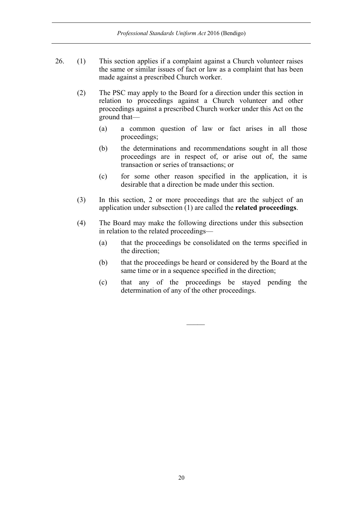- 26. (1) This section applies if a complaint against a Church volunteer raises the same or similar issues of fact or law as a complaint that has been made against a prescribed Church worker.
	- (2) The PSC may apply to the Board for a direction under this section in relation to proceedings against a Church volunteer and other proceedings against a prescribed Church worker under this Act on the ground that—
		- (a) a common question of law or fact arises in all those proceedings;
		- (b) the determinations and recommendations sought in all those proceedings are in respect of, or arise out of, the same transaction or series of transactions; or
		- (c) for some other reason specified in the application, it is desirable that a direction be made under this section.
	- (3) In this section, 2 or more proceedings that are the subject of an application under subsection (1) are called the **related proceedings**.
	- (4) The Board may make the following directions under this subsection in relation to the related proceedings—
		- (a) that the proceedings be consolidated on the terms specified in the direction;
		- (b) that the proceedings be heard or considered by the Board at the same time or in a sequence specified in the direction;
		- (c) that any of the proceedings be stayed pending the determination of any of the other proceedings.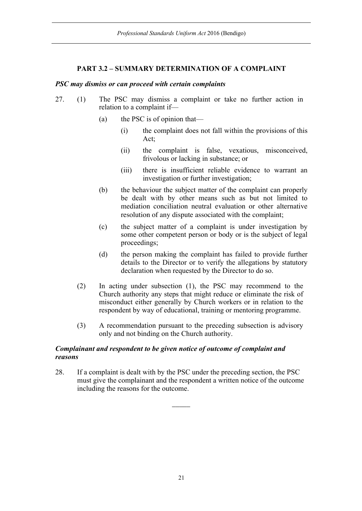## **PART 3.2 – SUMMARY DETERMINATION OF A COMPLAINT**

#### *PSC may dismiss or can proceed with certain complaints*

- 27. (1) The PSC may dismiss a complaint or take no further action in relation to a complaint if—
	- (a) the PSC is of opinion that—
		- (i) the complaint does not fall within the provisions of this Act;
		- (ii) the complaint is false, vexatious, misconceived, frivolous or lacking in substance; or
		- (iii) there is insufficient reliable evidence to warrant an investigation or further investigation;
	- (b) the behaviour the subject matter of the complaint can properly be dealt with by other means such as but not limited to mediation conciliation neutral evaluation or other alternative resolution of any dispute associated with the complaint;
	- (c) the subject matter of a complaint is under investigation by some other competent person or body or is the subject of legal proceedings;
	- (d) the person making the complaint has failed to provide further details to the Director or to verify the allegations by statutory declaration when requested by the Director to do so.
	- (2) In acting under subsection (1), the PSC may recommend to the Church authority any steps that might reduce or eliminate the risk of misconduct either generally by Church workers or in relation to the respondent by way of educational, training or mentoring programme.
	- (3) A recommendation pursuant to the preceding subsection is advisory only and not binding on the Church authority.

## *Complainant and respondent to be given notice of outcome of complaint and reasons*

28. If a complaint is dealt with by the PSC under the preceding section, the PSC must give the complainant and the respondent a written notice of the outcome including the reasons for the outcome.

 $\overline{\phantom{a}}$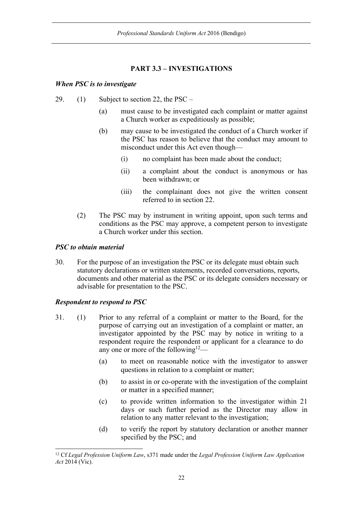## **PART 3.3 – INVESTIGATIONS**

## *When PSC is to investigate*

- 29. (1) Subject to section 22, the PSC
	- (a) must cause to be investigated each complaint or matter against a Church worker as expeditiously as possible;
	- (b) may cause to be investigated the conduct of a Church worker if the PSC has reason to believe that the conduct may amount to misconduct under this Act even though—
		- (i) no complaint has been made about the conduct;
		- (ii) a complaint about the conduct is anonymous or has been withdrawn; or
		- (iii) the complainant does not give the written consent referred to in section 22.
	- (2) The PSC may by instrument in writing appoint, upon such terms and conditions as the PSC may approve, a competent person to investigate a Church worker under this section.

## *PSC to obtain material*

30. For the purpose of an investigation the PSC or its delegate must obtain such statutory declarations or written statements, recorded conversations, reports, documents and other material as the PSC or its delegate considers necessary or advisable for presentation to the PSC.

## *Respondent to respond to PSC*

- 31. (1) Prior to any referral of a complaint or matter to the Board, for the purpose of carrying out an investigation of a complaint or matter, an investigator appointed by the PSC may by notice in writing to a respondent require the respondent or applicant for a clearance to do any one or more of the following<sup>12</sup>—
	- (a) to meet on reasonable notice with the investigator to answer questions in relation to a complaint or matter;
	- (b) to assist in or co-operate with the investigation of the complaint or matter in a specified manner;
	- (c) to provide written information to the investigator within 21 days or such further period as the Director may allow in relation to any matter relevant to the investigation;
	- (d) to verify the report by statutory declaration or another manner specified by the PSC; and

 <sup>12</sup> Cf *Legal Profession Uniform Law*, s371 made under the *Legal Profession Uniform Law Application Act* 2014 (Vic).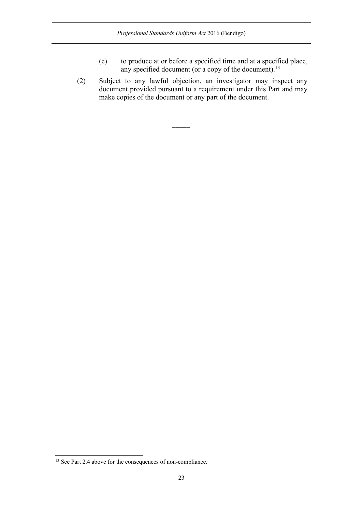- (e) to produce at or before a specified time and at a specified place, any specified document (or a copy of the document).<sup>13</sup>
- (2) Subject to any lawful objection, an investigator may inspect any document provided pursuant to a requirement under this Part and may make copies of the document or any part of the document.

 $\overline{\phantom{a}}$ 

<sup>&</sup>lt;sup>13</sup> See Part 2.4 above for the consequences of non-compliance.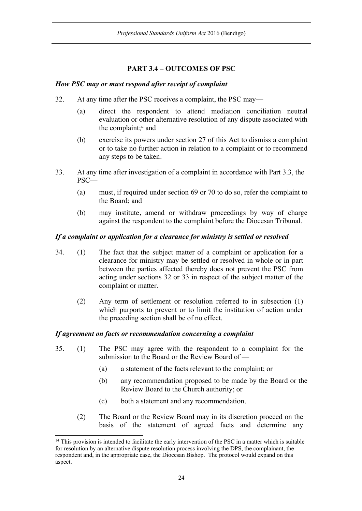## **PART 3.4 – OUTCOMES OF PSC**

## *How PSC may or must respond after receipt of complaint*

- 32. At any time after the PSC receives a complaint, the PSC may—
	- (a) direct the respondent to attend mediation conciliation neutral evaluation or other alternative resolution of any dispute associated with the complaint;14 and
	- (b) exercise its powers under section 27 of this Act to dismiss a complaint or to take no further action in relation to a complaint or to recommend any steps to be taken.
- 33. At any time after investigation of a complaint in accordance with Part 3.3, the PSC—
	- (a) must, if required under section 69 or 70 to do so, refer the complaint to the Board; and
	- (b) may institute, amend or withdraw proceedings by way of charge against the respondent to the complaint before the Diocesan Tribunal.

## *If a complaint or application for a clearance for ministry is settled or resolved*

- 34. (1) The fact that the subject matter of a complaint or application for a clearance for ministry may be settled or resolved in whole or in part between the parties affected thereby does not prevent the PSC from acting under sections 32 or 33 in respect of the subject matter of the complaint or matter.
	- (2) Any term of settlement or resolution referred to in subsection (1) which purports to prevent or to limit the institution of action under the preceding section shall be of no effect.

## *If agreement on facts or recommendation concerning a complaint*

- 35. (1) The PSC may agree with the respondent to a complaint for the submission to the Board or the Review Board of —
	- (a) a statement of the facts relevant to the complaint; or
	- (b) any recommendation proposed to be made by the Board or the Review Board to the Church authority; or
	- (c) both a statement and any recommendation.
	- (2) The Board or the Review Board may in its discretion proceed on the basis of the statement of agreed facts and determine any

<sup>&</sup>lt;sup>14</sup> This provision is intended to facilitate the early intervention of the PSC in a matter which is suitable for resolution by an alternative dispute resolution process involving the DPS, the complainant, the respondent and, in the appropriate case, the Diocesan Bishop. The protocol would expand on this aspect.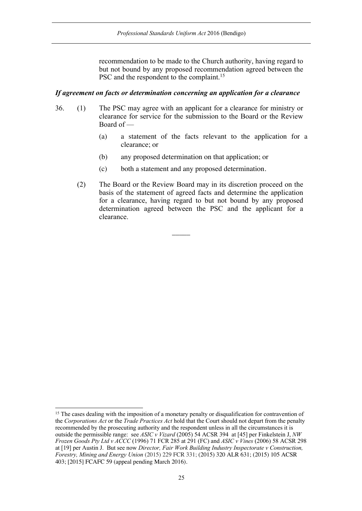recommendation to be made to the Church authority, having regard to but not bound by any proposed recommendation agreed between the PSC and the respondent to the complaint.<sup>15</sup>

#### *If agreement on facts or determination concerning an application for a clearance*

- 36. (1) The PSC may agree with an applicant for a clearance for ministry or clearance for service for the submission to the Board or the Review Board of —
	- (a) a statement of the facts relevant to the application for a clearance; or
	- (b) any proposed determination on that application; or
	- (c) both a statement and any proposed determination.

 $\overline{\phantom{a}}$ 

(2) The Board or the Review Board may in its discretion proceed on the basis of the statement of agreed facts and determine the application for a clearance, having regard to but not bound by any proposed determination agreed between the PSC and the applicant for a clearance.

<sup>&</sup>lt;sup>15</sup> The cases dealing with the imposition of a monetary penalty or disqualification for contravention of the *Corporations Act* or the *Trade Practices Act* hold that the Court should not depart from the penalty recommended by the prosecuting authority and the respondent unless in all the circumstances it is outside the permissible range: see *ASIC v Vizard* (2005) 54 ACSR 394 at [45] per Finkelstein J, *NW Frozen Goods Pty Ltd v ACCC* (1996) 71 FCR 285 at 291 (FC) and *ASIC v Vines* (2006) 58 ACSR 298 at [19] per Austin J. But see now *Director, Fair Work Building Industry Inspectorate v Construction, Forestry, Mining and Energy Union* (2015) 229 FCR 331; (2015) 320 ALR 631; (2015) 105 ACSR 403; [2015] FCAFC 59 (appeal pending March 2016).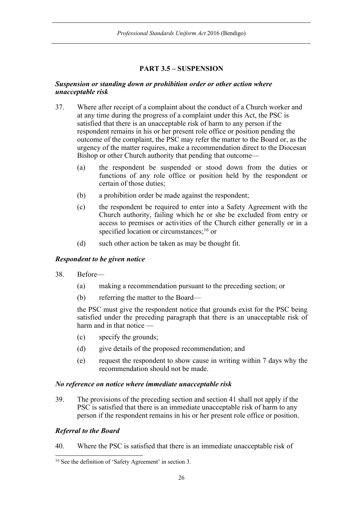## **PART 3.5 – SUSPENSION**

#### *Suspension or standing down or prohibition order or other action where unacceptable risk*

- 37. Where after receipt of a complaint about the conduct of a Church worker and at any time during the progress of a complaint under this Act, the PSC is satisfied that there is an unacceptable risk of harm to any person if the respondent remains in his or her present role office or position pending the outcome of the complaint, the PSC may refer the matter to the Board or, as the urgency of the matter requires, make a recommendation direct to the Diocesan Bishop or other Church authority that pending that outcome—
	- (a) the respondent be suspended or stood down from the duties or functions of any role office or position held by the respondent or certain of those duties;
	- (b) a prohibition order be made against the respondent;
	- (c) the respondent be required to enter into a Safety Agreement with the Church authority, failing which he or she be excluded from entry or access to premises or activities of the Church either generally or in a specified location or circumstances;<sup>16</sup> or
	- (d) such other action be taken as may be thought fit.

## *Respondent to be given notice*

- 38. Before—
	- (a) making a recommendation pursuant to the preceding section; or
	- (b) referring the matter to the Board—

the PSC must give the respondent notice that grounds exist for the PSC being satisfied under the preceding paragraph that there is an unacceptable risk of harm and in that notice —

- (c) specify the grounds;
- (d) give details of the proposed recommendation; and
- (e) request the respondent to show cause in writing within 7 days why the recommendation should not be made.

## *No reference on notice where immediate unacceptable risk*

39. The provisions of the preceding section and section 41 shall not apply if the PSC is satisfied that there is an immediate unacceptable risk of harm to any person if the respondent remains in his or her present role office or position.

## *Referral to the Board*

40. Where the PSC is satisfied that there is an immediate unacceptable risk of

 <sup>16</sup> See the definition of 'Safety Agreement' in section 3.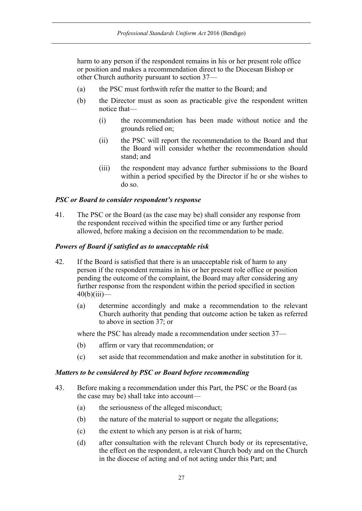harm to any person if the respondent remains in his or her present role office or position and makes a recommendation direct to the Diocesan Bishop or other Church authority pursuant to section 37—

- (a) the PSC must forthwith refer the matter to the Board; and
- (b) the Director must as soon as practicable give the respondent written notice that—
	- (i) the recommendation has been made without notice and the grounds relied on;
	- (ii) the PSC will report the recommendation to the Board and that the Board will consider whether the recommendation should stand; and
	- (iii) the respondent may advance further submissions to the Board within a period specified by the Director if he or she wishes to do so.

## *PSC or Board to consider respondent's response*

41. The PSC or the Board (as the case may be) shall consider any response from the respondent received within the specified time or any further period allowed, before making a decision on the recommendation to be made.

#### *Powers of Board if satisfied as to unacceptable risk*

- 42. If the Board is satisfied that there is an unacceptable risk of harm to any person if the respondent remains in his or her present role office or position pending the outcome of the complaint, the Board may after considering any further response from the respondent within the period specified in section  $40(b)(iii)$ —
	- (a) determine accordingly and make a recommendation to the relevant Church authority that pending that outcome action be taken as referred to above in section 37; or

where the PSC has already made a recommendation under section 37—

- (b) affirm or vary that recommendation; or
- (c) set aside that recommendation and make another in substitution for it.

#### *Matters to be considered by PSC or Board before recommending*

- 43. Before making a recommendation under this Part, the PSC or the Board (as the case may be) shall take into account—
	- (a) the seriousness of the alleged misconduct;
	- (b) the nature of the material to support or negate the allegations;
	- (c) the extent to which any person is at risk of harm;
	- (d) after consultation with the relevant Church body or its representative, the effect on the respondent, a relevant Church body and on the Church in the diocese of acting and of not acting under this Part; and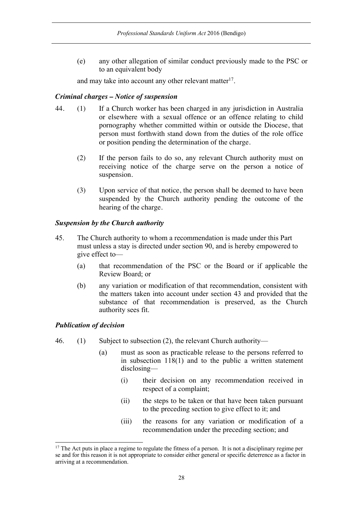(e) any other allegation of similar conduct previously made to the PSC or to an equivalent body

and may take into account any other relevant matter<sup>17</sup>.

## *Criminal charges – Notice of suspension*

- 44. (1) If a Church worker has been charged in any jurisdiction in Australia or elsewhere with a sexual offence or an offence relating to child pornography whether committed within or outside the Diocese, that person must forthwith stand down from the duties of the role office or position pending the determination of the charge.
	- (2) If the person fails to do so, any relevant Church authority must on receiving notice of the charge serve on the person a notice of suspension.
	- (3) Upon service of that notice, the person shall be deemed to have been suspended by the Church authority pending the outcome of the hearing of the charge.

## *Suspension by the Church authority*

- 45. The Church authority to whom a recommendation is made under this Part must unless a stay is directed under section 90, and is hereby empowered to give effect to—
	- (a) that recommendation of the PSC or the Board or if applicable the Review Board; or
	- (b) any variation or modification of that recommendation, consistent with the matters taken into account under section 43 and provided that the substance of that recommendation is preserved, as the Church authority sees fit.

## *Publication of decision*

- 46. (1) Subject to subsection (2), the relevant Church authority—
	- (a) must as soon as practicable release to the persons referred to in subsection 118(1) and to the public a written statement disclosing—
		- (i) their decision on any recommendation received in respect of a complaint;
		- (ii) the steps to be taken or that have been taken pursuant to the preceding section to give effect to it; and
		- (iii) the reasons for any variation or modification of a recommendation under the preceding section; and

 $17$  The Act puts in place a regime to regulate the fitness of a person. It is not a disciplinary regime per se and for this reason it is not appropriate to consider either general or specific deterrence as a factor in arriving at a recommendation.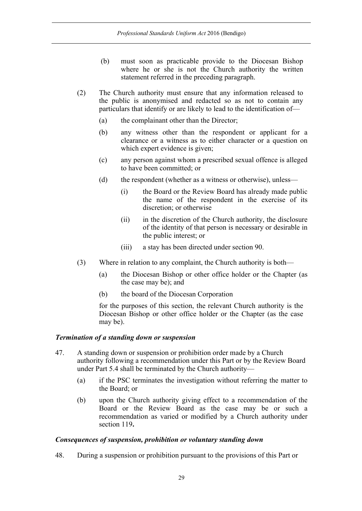- (b) must soon as practicable provide to the Diocesan Bishop where he or she is not the Church authority the written statement referred in the preceding paragraph.
- (2) The Church authority must ensure that any information released to the public is anonymised and redacted so as not to contain any particulars that identify or are likely to lead to the identification of—
	- (a) the complainant other than the Director;
	- (b) any witness other than the respondent or applicant for a clearance or a witness as to either character or a question on which expert evidence is given;
	- (c) any person against whom a prescribed sexual offence is alleged to have been committed; or
	- (d) the respondent (whether as a witness or otherwise), unless—
		- (i) the Board or the Review Board has already made public the name of the respondent in the exercise of its discretion; or otherwise
		- (ii) in the discretion of the Church authority, the disclosure of the identity of that person is necessary or desirable in the public interest; or
		- (iii) a stay has been directed under section 90.
- (3) Where in relation to any complaint, the Church authority is both—
	- (a) the Diocesan Bishop or other office holder or the Chapter (as the case may be); and
	- (b) the board of the Diocesan Corporation

for the purposes of this section, the relevant Church authority is the Diocesan Bishop or other office holder or the Chapter (as the case may be).

## *Termination of a standing down or suspension*

- 47. A standing down or suspension or prohibition order made by a Church authority following a recommendation under this Part or by the Review Board under Part 5.4 shall be terminated by the Church authority—
	- (a) if the PSC terminates the investigation without referring the matter to the Board; or
	- (b) upon the Church authority giving effect to a recommendation of the Board or the Review Board as the case may be or such a recommendation as varied or modified by a Church authority under section 119**.**

#### *Consequences of suspension, prohibition or voluntary standing down*

48. During a suspension or prohibition pursuant to the provisions of this Part or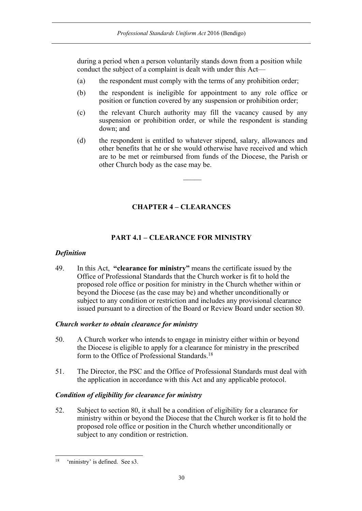during a period when a person voluntarily stands down from a position while conduct the subject of a complaint is dealt with under this Act—

- (a) the respondent must comply with the terms of any prohibition order;
- (b) the respondent is ineligible for appointment to any role office or position or function covered by any suspension or prohibition order;
- (c) the relevant Church authority may fill the vacancy caused by any suspension or prohibition order, or while the respondent is standing down; and
- (d) the respondent is entitled to whatever stipend, salary, allowances and other benefits that he or she would otherwise have received and which are to be met or reimbursed from funds of the Diocese, the Parish or other Church body as the case may be.

 $\mathcal{L}$ 

## **CHAPTER 4 – CLEARANCES**

## **PART 4.1 – CLEARANCE FOR MINISTRY**

## *Definition*

49. In this Act, **"clearance for ministry"** means the certificate issued by the Office of Professional Standards that the Church worker is fit to hold the proposed role office or position for ministry in the Church whether within or beyond the Diocese (as the case may be) and whether unconditionally or subject to any condition or restriction and includes any provisional clearance issued pursuant to a direction of the Board or Review Board under section 80.

## *Church worker to obtain clearance for ministry*

- 50. A Church worker who intends to engage in ministry either within or beyond the Diocese is eligible to apply for a clearance for ministry in the prescribed form to the Office of Professional Standards.18
- 51. The Director, the PSC and the Office of Professional Standards must deal with the application in accordance with this Act and any applicable protocol.

## *Condition of eligibility for clearance for ministry*

52. Subject to section 80, it shall be a condition of eligibility for a clearance for ministry within or beyond the Diocese that the Church worker is fit to hold the proposed role office or position in the Church whether unconditionally or subject to any condition or restriction.

 <sup>18 &#</sup>x27;ministry' is defined. See s3.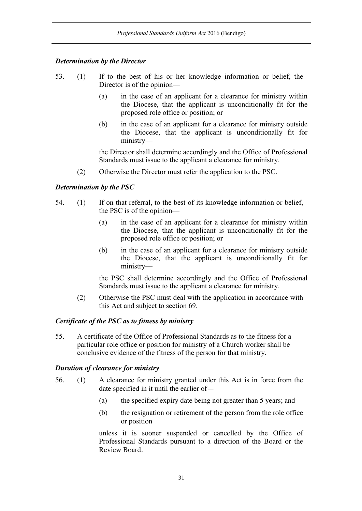## *Determination by the Director*

- 53. (1) If to the best of his or her knowledge information or belief, the Director is of the opinion—
	- (a) in the case of an applicant for a clearance for ministry within the Diocese, that the applicant is unconditionally fit for the proposed role office or position; or
	- (b) in the case of an applicant for a clearance for ministry outside the Diocese, that the applicant is unconditionally fit for ministry—

the Director shall determine accordingly and the Office of Professional Standards must issue to the applicant a clearance for ministry.

(2) Otherwise the Director must refer the application to the PSC.

## *Determination by the PSC*

- 54. (1) If on that referral, to the best of its knowledge information or belief, the PSC is of the opinion—
	- (a) in the case of an applicant for a clearance for ministry within the Diocese, that the applicant is unconditionally fit for the proposed role office or position; or
	- (b) in the case of an applicant for a clearance for ministry outside the Diocese, that the applicant is unconditionally fit for ministry—

the PSC shall determine accordingly and the Office of Professional Standards must issue to the applicant a clearance for ministry.

(2) Otherwise the PSC must deal with the application in accordance with this Act and subject to section 69.

#### *Certificate of the PSC as to fitness by ministry*

55. A certificate of the Office of Professional Standards as to the fitness for a particular role office or position for ministry of a Church worker shall be conclusive evidence of the fitness of the person for that ministry.

## *Duration of clearance for ministry*

- 56. (1) A clearance for ministry granted under this Act is in force from the date specified in it until the earlier of—
	- (a) the specified expiry date being not greater than 5 years; and
	- (b) the resignation or retirement of the person from the role office or position

unless it is sooner suspended or cancelled by the Office of Professional Standards pursuant to a direction of the Board or the Review Board.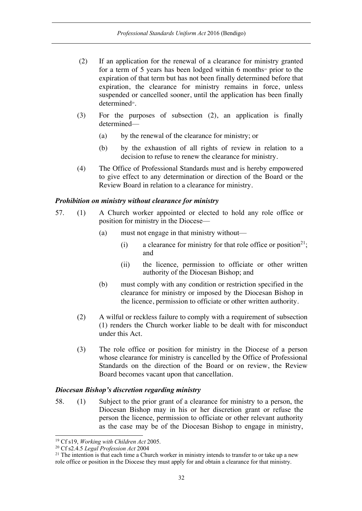- (2) If an application for the renewal of a clearance for ministry granted for a term of 5 years has been lodged within 6 months<sup>19</sup> prior to the expiration of that term but has not been finally determined before that expiration, the clearance for ministry remains in force, unless suspended or cancelled sooner, until the application has been finally determined<sup>20</sup>.
- (3) For the purposes of subsection (2), an application is finally determined—
	- (a) by the renewal of the clearance for ministry; or
	- (b) by the exhaustion of all rights of review in relation to a decision to refuse to renew the clearance for ministry.
- (4) The Office of Professional Standards must and is hereby empowered to give effect to any determination or direction of the Board or the Review Board in relation to a clearance for ministry.

#### *Prohibition on ministry without clearance for ministry*

- 57. (1) A Church worker appointed or elected to hold any role office or position for ministry in the Diocese—
	- (a) must not engage in that ministry without—
		- (i) a clearance for ministry for that role office or position<sup>21</sup>; and
		- (ii) the licence, permission to officiate or other written authority of the Diocesan Bishop; and
	- (b) must comply with any condition or restriction specified in the clearance for ministry or imposed by the Diocesan Bishop in the licence, permission to officiate or other written authority.
	- (2) A wilful or reckless failure to comply with a requirement of subsection (1) renders the Church worker liable to be dealt with for misconduct under this Act.
	- (3) The role office or position for ministry in the Diocese of a person whose clearance for ministry is cancelled by the Office of Professional Standards on the direction of the Board or on review, the Review Board becomes vacant upon that cancellation.

#### *Diocesan Bishop's discretion regarding ministry*

58. (1) Subject to the prior grant of a clearance for ministry to a person, the Diocesan Bishop may in his or her discretion grant or refuse the person the licence, permission to officiate or other relevant authority as the case may be of the Diocesan Bishop to engage in ministry,

 <sup>19</sup> Cf s19, *Working with Children Act* 2005.

<sup>20</sup> Cf s2.4.5 *Legal Profession Act* 2004

<sup>&</sup>lt;sup>21</sup> The intention is that each time a Church worker in ministry intends to transfer to or take up a new role office or position in the Diocese they must apply for and obtain a clearance for that ministry.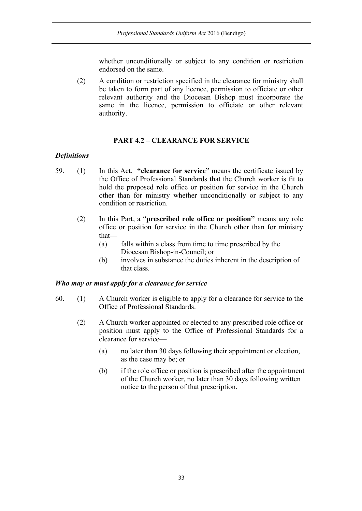whether unconditionally or subject to any condition or restriction endorsed on the same.

(2) A condition or restriction specified in the clearance for ministry shall be taken to form part of any licence, permission to officiate or other relevant authority and the Diocesan Bishop must incorporate the same in the licence, permission to officiate or other relevant authority.

## **PART 4.2 – CLEARANCE FOR SERVICE**

## *Definitions*

- 59. (1) In this Act, **"clearance for service"** means the certificate issued by the Office of Professional Standards that the Church worker is fit to hold the proposed role office or position for service in the Church other than for ministry whether unconditionally or subject to any condition or restriction.
	- (2) In this Part, a "**prescribed role office or position"** means any role office or position for service in the Church other than for ministry that—
		- (a) falls within a class from time to time prescribed by the Diocesan Bishop-in-Council; or
		- (b) involves in substance the duties inherent in the description of that class.

## *Who may or must apply for a clearance for service*

- 60. (1) A Church worker is eligible to apply for a clearance for service to the Office of Professional Standards.
	- (2) A Church worker appointed or elected to any prescribed role office or position must apply to the Office of Professional Standards for a clearance for service—
		- (a) no later than 30 days following their appointment or election, as the case may be; or
		- (b) if the role office or position is prescribed after the appointment of the Church worker, no later than 30 days following written notice to the person of that prescription.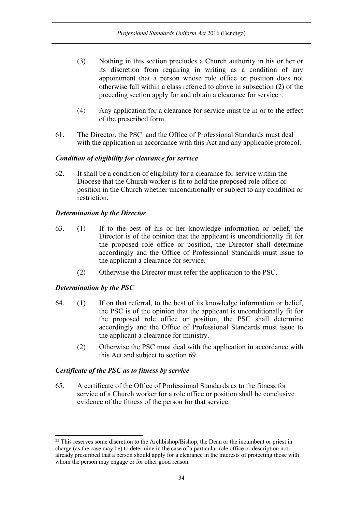- (3) Nothing in this section precludes a Church authority in his or her or its discretion from requiring in writing as a condition of any appointment that a person whose role office or position does not otherwise fall within a class referred to above in subsection (2) of the preceding section apply for and obtain a clearance for service<sup>22</sup>.
- (4) Any application for a clearance for service must be in or to the effect of the prescribed form.
- 61. The Director, the PSC and the Office of Professional Standards must deal with the application in accordance with this Act and any applicable protocol.

## *Condition of eligibility for clearance for service*

62. It shall be a condition of eligibility for a clearance for service within the Diocese that the Church worker is fit to hold the proposed role office or position in the Church whether unconditionally or subject to any condition or restriction.

## *Determination by the Director*

- 63. (1) If to the best of his or her knowledge information or belief, the Director is of the opinion that the applicant is unconditionally fit for the proposed role office or position, the Director shall determine accordingly and the Office of Professional Standards must issue to the applicant a clearance for service.
	- (2) Otherwise the Director must refer the application to the PSC.

## *Determination by the PSC*

- 64. (1) If on that referral, to the best of its knowledge information or belief, the PSC is of the opinion that the applicant is unconditionally fit for the proposed role office or position, the PSC shall determine accordingly and the Office of Professional Standards must issue to the applicant a clearance for ministry.
	- (2) Otherwise the PSC must deal with the application in accordance with this Act and subject to section 69.

## *Certificate of the PSC as to fitness by service*

65. A certificate of the Office of Professional Standards as to the fitness for service of a Church worker for a role office or position shall be conclusive evidence of the fitness of the person for that service.

<sup>&</sup>lt;sup>22</sup> This reserves some discretion to the Archbishop/Bishop, the Dean or the incumbent or priest in charge (as the case may be) to determine in the case of a particular role office or description not already prescribed that a person should apply for a clearance in the interests of protecting those with whom the person may engage or for other good reason.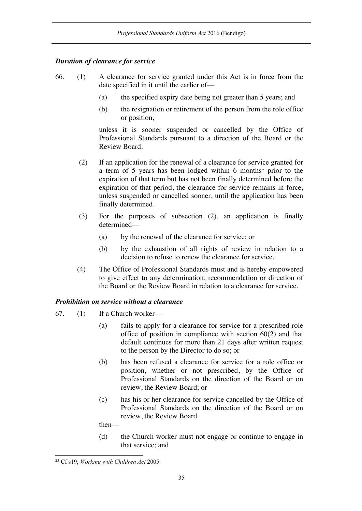## *Duration of clearance for service*

- 66. (1) A clearance for service granted under this Act is in force from the date specified in it until the earlier of—
	- (a) the specified expiry date being not greater than 5 years; and
	- (b) the resignation or retirement of the person from the role office or position,

unless it is sooner suspended or cancelled by the Office of Professional Standards pursuant to a direction of the Board or the Review Board.

- (2) If an application for the renewal of a clearance for service granted for a term of 5 years has been lodged within 6 months<sup>23</sup> prior to the expiration of that term but has not been finally determined before the expiration of that period, the clearance for service remains in force, unless suspended or cancelled sooner, until the application has been finally determined.
- (3) For the purposes of subsection (2), an application is finally determined—
	- (a) by the renewal of the clearance for service; or
	- (b) by the exhaustion of all rights of review in relation to a decision to refuse to renew the clearance for service.
- (4) The Office of Professional Standards must and is hereby empowered to give effect to any determination, recommendation or direction of the Board or the Review Board in relation to a clearance for service.

## *Prohibition on service without a clearance*

- 67. (1) If a Church worker—
	- (a) fails to apply for a clearance for service for a prescribed role office of position in compliance with section 60(2) and that default continues for more than 21 days after written request to the person by the Director to do so; or
	- (b) has been refused a clearance for service for a role office or position, whether or not prescribed, by the Office of Professional Standards on the direction of the Board or on review, the Review Board; or
	- (c) has his or her clearance for service cancelled by the Office of Professional Standards on the direction of the Board or on review, the Review Board

then—

(d) the Church worker must not engage or continue to engage in that service; and

 <sup>23</sup> Cf s19, *Working with Children Act* 2005.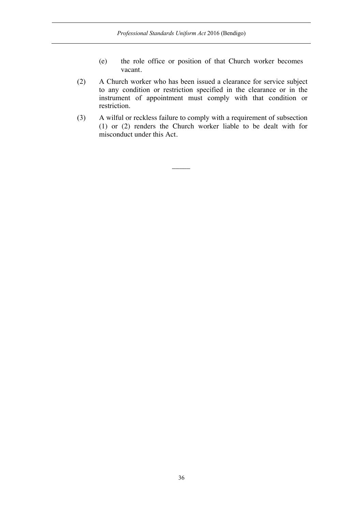- (e) the role office or position of that Church worker becomes vacant.
- (2) A Church worker who has been issued a clearance for service subject to any condition or restriction specified in the clearance or in the instrument of appointment must comply with that condition or restriction.
- (3) A wilful or reckless failure to comply with a requirement of subsection (1) or (2) renders the Church worker liable to be dealt with for misconduct under this Act.

 $\overline{\phantom{a}}$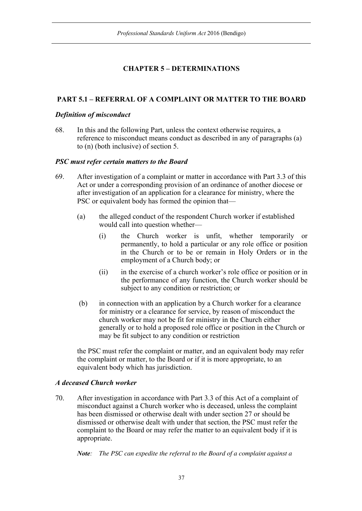# **CHAPTER 5 – DETERMINATIONS**

# **PART 5.1 – REFERRAL OF A COMPLAINT OR MATTER TO THE BOARD**

## *Definition of misconduct*

68. In this and the following Part, unless the context otherwise requires, a reference to misconduct means conduct as described in any of paragraphs (a) to (n) (both inclusive) of section 5.

## *PSC must refer certain matters to the Board*

- 69. After investigation of a complaint or matter in accordance with Part 3.3 of this Act or under a corresponding provision of an ordinance of another diocese or after investigation of an application for a clearance for ministry, where the PSC or equivalent body has formed the opinion that—
	- (a) the alleged conduct of the respondent Church worker if established would call into question whether—
		- (i) the Church worker is unfit, whether temporarily or permanently, to hold a particular or any role office or position in the Church or to be or remain in Holy Orders or in the employment of a Church body; or
		- (ii) in the exercise of a church worker's role office or position or in the performance of any function, the Church worker should be subject to any condition or restriction; or
	- (b) in connection with an application by a Church worker for a clearance for ministry or a clearance for service, by reason of misconduct the church worker may not be fit for ministry in the Church either generally or to hold a proposed role office or position in the Church or may be fit subject to any condition or restriction

the PSC must refer the complaint or matter, and an equivalent body may refer the complaint or matter, to the Board or if it is more appropriate, to an equivalent body which has jurisdiction.

# *A deceased Church worker*

70. After investigation in accordance with Part 3.3 of this Act of a complaint of misconduct against a Church worker who is deceased, unless the complaint has been dismissed or otherwise dealt with under section 27 or should be dismissed or otherwise dealt with under that section, the PSC must refer the complaint to the Board or may refer the matter to an equivalent body if it is appropriate.

*Note: The PSC can expedite the referral to the Board of a complaint against a*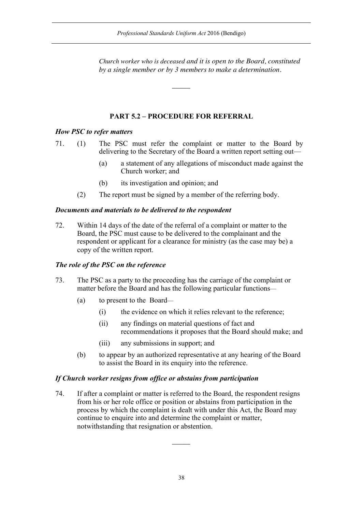*Church worker who is deceased and it is open to the Board, constituted by a single member or by 3 members to make a determination.*

# **PART 5.2 – PROCEDURE FOR REFERRAL**

 $\overline{\phantom{a}}$ 

## *How PSC to refer matters*

71. (1) The PSC must refer the complaint or matter to the Board by delivering to the Secretary of the Board a written report setting out—

- (a) a statement of any allegations of misconduct made against the Church worker; and
- (b) its investigation and opinion; and
- (2) The report must be signed by a member of the referring body.

# *Documents and materials to be delivered to the respondent*

72. Within 14 days of the date of the referral of a complaint or matter to the Board, the PSC must cause to be delivered to the complainant and the respondent or applicant for a clearance for ministry (as the case may be) a copy of the written report.

## *The role of the PSC on the reference*

- 73. The PSC as a party to the proceeding has the carriage of the complaint or matter before the Board and has the following particular functions—
	- (a) to present to the Board—
		- (i) the evidence on which it relies relevant to the reference;
		- (ii) any findings on material questions of fact and recommendations it proposes that the Board should make; and
		- (iii) any submissions in support; and
	- (b) to appear by an authorized representative at any hearing of the Board to assist the Board in its enquiry into the reference.

## *If Church worker resigns from office or abstains from participation*

74. If after a complaint or matter is referred to the Board, the respondent resigns from his or her role office or position or abstains from participation in the process by which the complaint is dealt with under this Act, the Board may continue to enquire into and determine the complaint or matter, notwithstanding that resignation or abstention.

 $\overline{\phantom{a}}$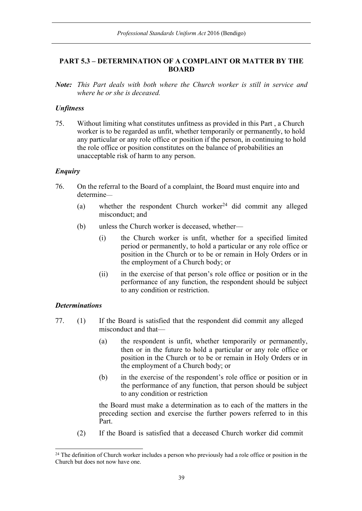## **PART 5.3 – DETERMINATION OF A COMPLAINT OR MATTER BY THE BOARD**

*Note: This Part deals with both where the Church worker is still in service and where he or she is deceased.*

### *Unfitness*

75. Without limiting what constitutes unfitness as provided in this Part , a Church worker is to be regarded as unfit, whether temporarily or permanently, to hold any particular or any role office or position if the person, in continuing to hold the role office or position constitutes on the balance of probabilities an unacceptable risk of harm to any person.

### *Enquiry*

- 76. On the referral to the Board of a complaint, the Board must enquire into and determine—
	- (a) whether the respondent Church worker<sup>24</sup> did commit any alleged misconduct; and
	- (b) unless the Church worker is deceased, whether—
		- (i) the Church worker is unfit, whether for a specified limited period or permanently, to hold a particular or any role office or position in the Church or to be or remain in Holy Orders or in the employment of a Church body; or
		- (ii) in the exercise of that person's role office or position or in the performance of any function, the respondent should be subject to any condition or restriction.

### *Determinations*

- 77. (1) If the Board is satisfied that the respondent did commit any alleged misconduct and that—
	- (a) the respondent is unfit, whether temporarily or permanently, then or in the future to hold a particular or any role office or position in the Church or to be or remain in Holy Orders or in the employment of a Church body; or
	- (b) in the exercise of the respondent's role office or position or in the performance of any function, that person should be subject to any condition or restriction

the Board must make a determination as to each of the matters in the preceding section and exercise the further powers referred to in this Part.

(2) If the Board is satisfied that a deceased Church worker did commit

<sup>&</sup>lt;sup>24</sup> The definition of Church worker includes a person who previously had a role office or position in the Church but does not now have one.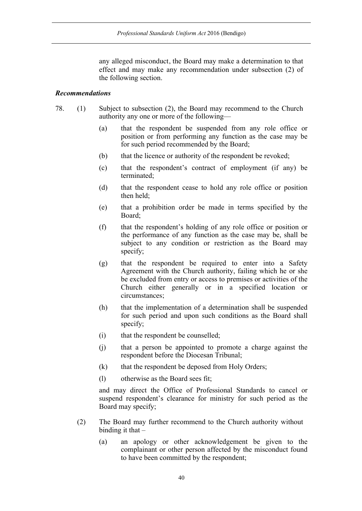any alleged misconduct, the Board may make a determination to that effect and may make any recommendation under subsection (2) of the following section.

### *Recommendations*

- 78. (1) Subject to subsection (2), the Board may recommend to the Church authority any one or more of the following—
	- (a) that the respondent be suspended from any role office or position or from performing any function as the case may be for such period recommended by the Board;
	- (b) that the licence or authority of the respondent be revoked;
	- (c) that the respondent's contract of employment (if any) be terminated;
	- (d) that the respondent cease to hold any role office or position then held;
	- (e) that a prohibition order be made in terms specified by the Board;
	- (f) that the respondent's holding of any role office or position or the performance of any function as the case may be, shall be subject to any condition or restriction as the Board may specify;
	- (g) that the respondent be required to enter into a Safety Agreement with the Church authority, failing which he or she be excluded from entry or access to premises or activities of the Church either generally or in a specified location or circumstances;
	- (h) that the implementation of a determination shall be suspended for such period and upon such conditions as the Board shall specify;
	- (i) that the respondent be counselled;
	- (j) that a person be appointed to promote a charge against the respondent before the Diocesan Tribunal;
	- (k) that the respondent be deposed from Holy Orders;
	- (l) otherwise as the Board sees fit;

and may direct the Office of Professional Standards to cancel or suspend respondent's clearance for ministry for such period as the Board may specify;

- (2) The Board may further recommend to the Church authority without binding it that  $-$ 
	- (a) an apology or other acknowledgement be given to the complainant or other person affected by the misconduct found to have been committed by the respondent;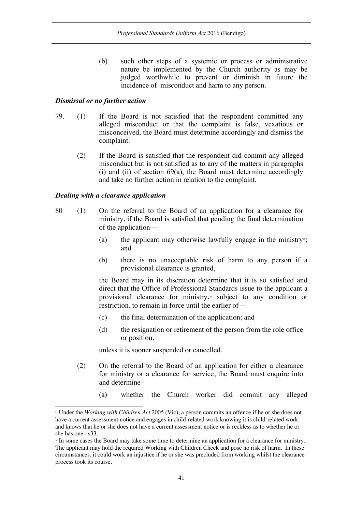(b) such other steps of a systemic or process or administrative nature be implemented by the Church authority as may be judged worthwhile to prevent or diminish in future the incidence of misconduct and harm to any person.

### *Dismissal or no further action*

- 79. (1) If the Board is not satisfied that the respondent committed any alleged misconduct or that the complaint is false, vexatious or misconceived, the Board must determine accordingly and dismiss the complaint.
	- (2) If the Board is satisfied that the respondent did commit any alleged misconduct but is not satisfied as to any of the matters in paragraphs (i) and (ii) of section 69(a), the Board must determine accordingly and take no further action in relation to the complaint.

### *Dealing with a clearance application*

l

- 80 (1) On the referral to the Board of an application for a clearance for ministry, if the Board is satisfied that pending the final determination of the application—
	- (a) the applicant may otherwise lawfully engage in the ministry<sup>25</sup>; and
	- (b) there is no unacceptable risk of harm to any person if a provisional clearance is granted,

the Board may in its discretion determine that it is so satisfied and direct that the Office of Professional Standards issue to the applicant a provisional clearance for ministry, <sup>26</sup> subject to any condition or restriction, to remain in force until the earlier of—

- (c) the final determination of the application; and
- (d) the resignation or retirement of the person from the role office or position,

unless it is sooner suspended or cancelled.

- (2) On the referral to the Board of an application for either a clearance for ministry or a clearance for service, the Board must enquire into and determine–
	- (a) whether the Church worker did commit any alleged

<sup>25</sup> Under the *Working with Children Act* 2005 (Vic), a person commits an offence if he or she does not have a current assessment notice and engages in child-related work knowing it is child-related work and knows that he or she does not have a current assessment notice or is reckless as to whether he or she has one: s33.<br>
<sup>26</sup> In some cases the Board may take some time to determine an application for a clearance for ministry.

The applicant may hold the required Working with Children Check and pose no risk of harm. In these circumstances, it could work an injustice if he or she was precluded from working whilst the clearance process took its course.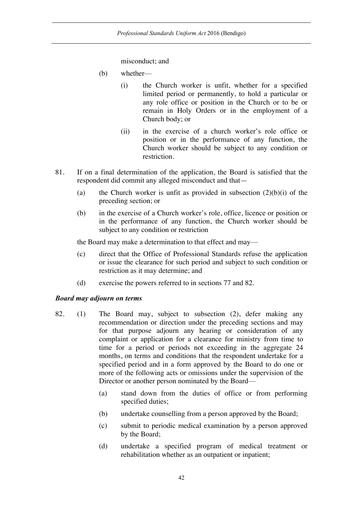misconduct; and

- (b) whether—
	- (i) the Church worker is unfit, whether for a specified limited period or permanently, to hold a particular or any role office or position in the Church or to be or remain in Holy Orders or in the employment of a Church body; or
	- (ii) in the exercise of a church worker's role office or position or in the performance of any function, the Church worker should be subject to any condition or restriction.
- 81. If on a final determination of the application, the Board is satisfied that the respondent did commit any alleged misconduct and that—
	- (a) the Church worker is unfit as provided in subsection  $(2)(b)(i)$  of the preceding section; or
	- (b) in the exercise of a Church worker's role, office, licence or position or in the performance of any function, the Church worker should be subject to any condition or restriction

the Board may make a determination to that effect and may—

- (c) direct that the Office of Professional Standards refuse the application or issue the clearance for such period and subject to such condition or restriction as it may determine; and
- (d) exercise the powers referred to in sections 77 and 82.

## *Board may adjourn on terms*

- 82. (1) The Board may, subject to subsection (2), defer making any recommendation or direction under the preceding sections and may for that purpose adjourn any hearing or consideration of any complaint or application for a clearance for ministry from time to time for a period or periods not exceeding in the aggregate 24 months, on terms and conditions that the respondent undertake for a specified period and in a form approved by the Board to do one or more of the following acts or omissions under the supervision of the Director or another person nominated by the Board—
	- (a) stand down from the duties of office or from performing specified duties;
	- (b) undertake counselling from a person approved by the Board;
	- (c) submit to periodic medical examination by a person approved by the Board;
	- (d) undertake a specified program of medical treatment or rehabilitation whether as an outpatient or inpatient;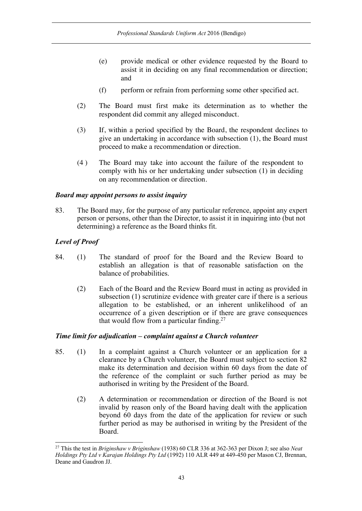- (e) provide medical or other evidence requested by the Board to assist it in deciding on any final recommendation or direction; and
- (f) perform or refrain from performing some other specified act.
- (2) The Board must first make its determination as to whether the respondent did commit any alleged misconduct.
- (3) If, within a period specified by the Board, the respondent declines to give an undertaking in accordance with subsection (1), the Board must proceed to make a recommendation or direction.
- (4 ) The Board may take into account the failure of the respondent to comply with his or her undertaking under subsection (1) in deciding on any recommendation or direction.

## *Board may appoint persons to assist inquiry*

83. The Board may, for the purpose of any particular reference, appoint any expert person or persons, other than the Director, to assist it in inquiring into (but not determining) a reference as the Board thinks fit.

## *Level of Proof*

- 84. (1) The standard of proof for the Board and the Review Board to establish an allegation is that of reasonable satisfaction on the balance of probabilities.
	- (2) Each of the Board and the Review Board must in acting as provided in subsection (1) scrutinize evidence with greater care if there is a serious allegation to be established, or an inherent unlikelihood of an occurrence of a given description or if there are grave consequences that would flow from a particular finding.<sup>27</sup>

## *Time limit for adjudication – complaint against a Church volunteer*

- 85. (1) In a complaint against a Church volunteer or an application for a clearance by a Church volunteer, the Board must subject to section 82 make its determination and decision within 60 days from the date of the reference of the complaint or such further period as may be authorised in writing by the President of the Board.
	- (2) A determination or recommendation or direction of the Board is not invalid by reason only of the Board having dealt with the application beyond 60 days from the date of the application for review or such further period as may be authorised in writing by the President of the Board.

 <sup>27</sup> This the test in *Briginshaw v Briginshaw* (1938) 60 CLR 336 at 362-363 per Dixon J; see also *Neat Holdings Pty Ltd v Karajan Holdings Pty Ltd* (1992) 110 ALR 449 at 449-450 per Mason CJ, Brennan, Deane and Gaudron JJ.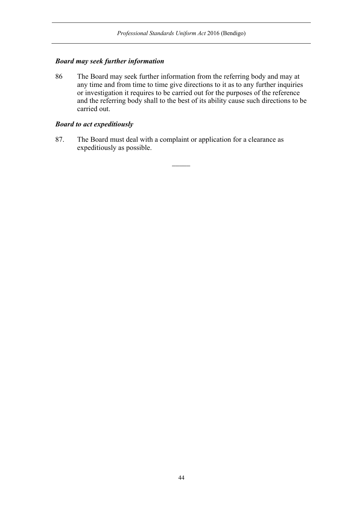## *Board may seek further information*

86 The Board may seek further information from the referring body and may at any time and from time to time give directions to it as to any further inquiries or investigation it requires to be carried out for the purposes of the reference and the referring body shall to the best of its ability cause such directions to be carried out.

## *Board to act expeditiously*

87. The Board must deal with a complaint or application for a clearance as expeditiously as possible.

 $\overline{\phantom{a}}$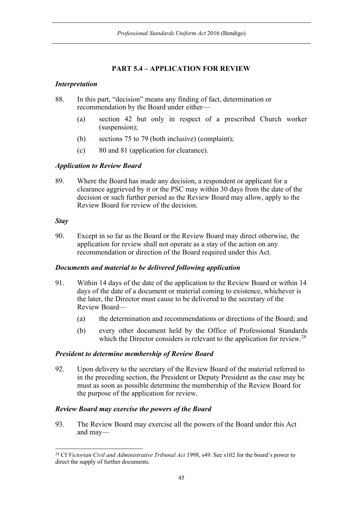# **PART 5.4 – APPLICATION FOR REVIEW**

## *Interpretation*

- 88. In this part, "decision" means any finding of fact, determination or recommendation by the Board under either—
	- (a) section 42 but only in respect of a prescribed Church worker (suspension);
	- (b) sections 75 to 79 (both inclusive) (complaint);
	- (c) 80 and 81 (application for clearance).

## *Application to Review Board*

89. Where the Board has made any decision, a respondent or applicant for a clearance aggrieved by it or the PSC may within 30 days from the date of the decision or such further period as the Review Board may allow, apply to the Review Board for review of the decision.

## *Stay*

90. Except in so far as the Board or the Review Board may direct otherwise, the application for review shall not operate as a stay of the action on any recommendation or direction of the Board required under this Act.

## *Documents and material to be delivered following application*

- 91. Within 14 days of the date of the application to the Review Board or within 14 days of the date of a document or material coming to existence, whichever is the later, the Director must cause to be delivered to the secretary of the Review Board—
	- (a) the determination and recommendations or directions of the Board; and
	- (b) every other document held by the Office of Professional Standards which the Director considers is relevant to the application for review.<sup>28</sup>

## *President to determine membership of Review Board*

92. Upon delivery to the secretary of the Review Board of the material referred to in the preceding section, the President or Deputy President as the case may be must as soon as possible determine the membership of the Review Board for the purpose of the application for review.

## *Review Board may exercise the powers of the Board*

93. The Review Board may exercise all the powers of the Board under this Act and may—

 <sup>28</sup> Cf *Victorian Civil and Administrative Tribunal Act* 1998, s49. See s102 for the board's power to direct the supply of further documents.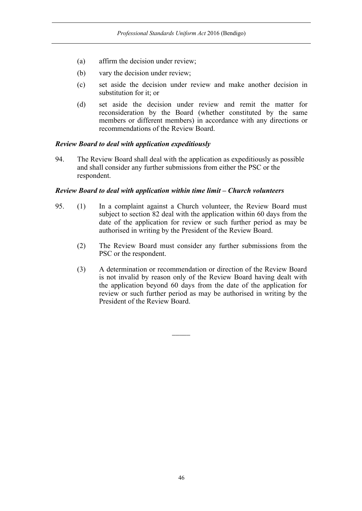- (a) affirm the decision under review;
- (b) vary the decision under review;
- (c) set aside the decision under review and make another decision in substitution for it; or
- (d) set aside the decision under review and remit the matter for reconsideration by the Board (whether constituted by the same members or different members) in accordance with any directions or recommendations of the Review Board.

### *Review Board to deal with application expeditiously*

94. The Review Board shall deal with the application as expeditiously as possible and shall consider any further submissions from either the PSC or the respondent.

### *Review Board to deal with application within time limit – Church volunteers*

- 95. (1) In a complaint against a Church volunteer, the Review Board must subject to section 82 deal with the application within 60 days from the date of the application for review or such further period as may be authorised in writing by the President of the Review Board.
	- (2) The Review Board must consider any further submissions from the PSC or the respondent.
	- (3) A determination or recommendation or direction of the Review Board is not invalid by reason only of the Review Board having dealt with the application beyond 60 days from the date of the application for review or such further period as may be authorised in writing by the President of the Review Board.

 $\overline{\phantom{a}}$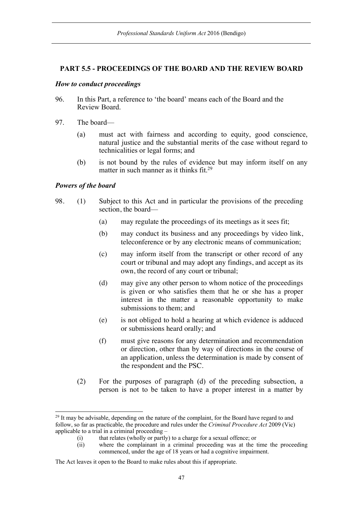### **PART 5.5 - PROCEEDINGS OF THE BOARD AND THE REVIEW BOARD**

### *How to conduct proceedings*

- 96. In this Part, a reference to 'the board' means each of the Board and the Review Board.
- 97. The board—
	- (a) must act with fairness and according to equity, good conscience, natural justice and the substantial merits of the case without regard to technicalities or legal forms; and
	- (b) is not bound by the rules of evidence but may inform itself on any matter in such manner as it thinks fit.<sup>29</sup>

#### *Powers of the board*

- 98. (1) Subject to this Act and in particular the provisions of the preceding section, the board—
	- (a) may regulate the proceedings of its meetings as it sees fit;
	- (b) may conduct its business and any proceedings by video link, teleconference or by any electronic means of communication;
	- (c) may inform itself from the transcript or other record of any court or tribunal and may adopt any findings, and accept as its own, the record of any court or tribunal;
	- (d) may give any other person to whom notice of the proceedings is given or who satisfies them that he or she has a proper interest in the matter a reasonable opportunity to make submissions to them; and
	- (e) is not obliged to hold a hearing at which evidence is adduced or submissions heard orally; and
	- (f) must give reasons for any determination and recommendation or direction, other than by way of directions in the course of an application, unless the determination is made by consent of the respondent and the PSC.
	- (2) For the purposes of paragraph (d) of the preceding subsection, a person is not to be taken to have a proper interest in a matter by

<sup>&</sup>lt;sup>29</sup> It may be advisable, depending on the nature of the complaint, for the Board have regard to and follow, so far as practicable, the procedure and rules under the *Criminal Procedure Act* 2009 (Vic) applicable to a trial in a criminal proceeding –

<sup>(</sup>i) that relates (wholly or partly) to a charge for a sexual offence; or

<sup>(</sup>ii) where the complainant in a criminal proceeding was at the time the proceeding commenced, under the age of 18 years or had a cognitive impairment.

The Act leaves it open to the Board to make rules about this if appropriate.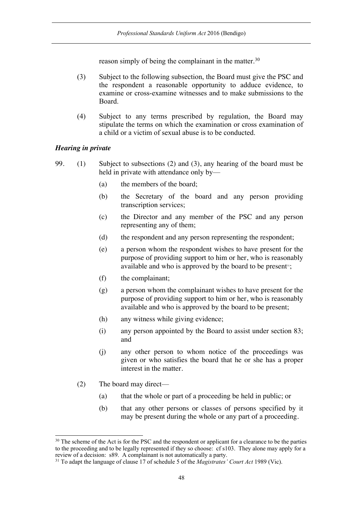reason simply of being the complainant in the matter.<sup>30</sup>

- (3) Subject to the following subsection, the Board must give the PSC and the respondent a reasonable opportunity to adduce evidence, to examine or cross-examine witnesses and to make submissions to the Board.
- (4) Subject to any terms prescribed by regulation, the Board may stipulate the terms on which the examination or cross examination of a child or a victim of sexual abuse is to be conducted.

### *Hearing in private*

- 99. (1) Subject to subsections (2) and (3), any hearing of the board must be held in private with attendance only by—
	- (a) the members of the board;
	- (b) the Secretary of the board and any person providing transcription services;
	- (c) the Director and any member of the PSC and any person representing any of them;
	- (d) the respondent and any person representing the respondent;
	- (e) a person whom the respondent wishes to have present for the purpose of providing support to him or her, who is reasonably available and who is approved by the board to be present $\mathfrak{m}$ ;
	- (f) the complainant;
	- (g) a person whom the complainant wishes to have present for the purpose of providing support to him or her, who is reasonably available and who is approved by the board to be present;
	- (h) any witness while giving evidence;
	- (i) any person appointed by the Board to assist under section 83; and
	- (j) any other person to whom notice of the proceedings was given or who satisfies the board that he or she has a proper interest in the matter.
	- (2) The board may direct—
		- (a) that the whole or part of a proceeding be held in public; or
		- (b) that any other persons or classes of persons specified by it may be present during the whole or any part of a proceeding.

<sup>&</sup>lt;sup>30</sup> The scheme of the Act is for the PSC and the respondent or applicant for a clearance to be the parties to the proceeding and to be legally represented if they so choose: cf s103. They alone may apply for a review of a decision: s89. A complainant is not automatically a party.

<sup>31</sup> To adapt the language of clause 17 of schedule 5 of the *Magistrates' Court Act* 1989 (Vic).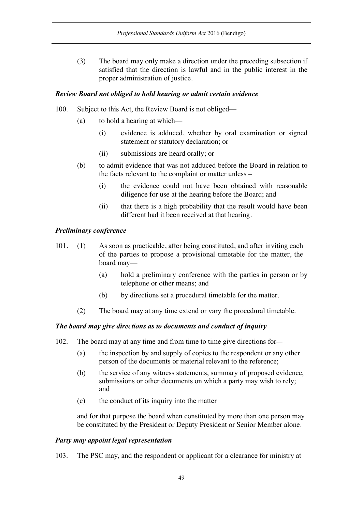(3) The board may only make a direction under the preceding subsection if satisfied that the direction is lawful and in the public interest in the proper administration of justice.

## *Review Board not obliged to hold hearing or admit certain evidence*

- 100. Subject to this Act, the Review Board is not obliged—
	- (a) to hold a hearing at which—
		- (i) evidence is adduced, whether by oral examination or signed statement or statutory declaration; or
		- (ii) submissions are heard orally; or
	- (b) to admit evidence that was not adduced before the Board in relation to the facts relevant to the complaint or matter unless –
		- (i) the evidence could not have been obtained with reasonable diligence for use at the hearing before the Board; and
		- (ii) that there is a high probability that the result would have been different had it been received at that hearing.

## *Preliminary conference*

- 101. (1) As soon as practicable, after being constituted, and after inviting each of the parties to propose a provisional timetable for the matter, the board may—
	- (a) hold a preliminary conference with the parties in person or by telephone or other means; and
	- (b) by directions set a procedural timetable for the matter.
	- (2) The board may at any time extend or vary the procedural timetable.

# *The board may give directions as to documents and conduct of inquiry*

- 102. The board may at any time and from time to time give directions for—
	- (a) the inspection by and supply of copies to the respondent or any other person of the documents or material relevant to the reference;
	- (b) the service of any witness statements, summary of proposed evidence, submissions or other documents on which a party may wish to rely; and
	- (c) the conduct of its inquiry into the matter

and for that purpose the board when constituted by more than one person may be constituted by the President or Deputy President or Senior Member alone.

## *Party may appoint legal representation*

103. The PSC may, and the respondent or applicant for a clearance for ministry at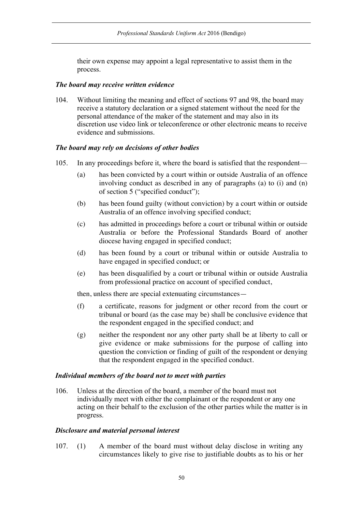their own expense may appoint a legal representative to assist them in the process.

### *The board may receive written evidence*

104. Without limiting the meaning and effect of sections 97 and 98, the board may receive a statutory declaration or a signed statement without the need for the personal attendance of the maker of the statement and may also in its discretion use video link or teleconference or other electronic means to receive evidence and submissions.

## *The board may rely on decisions of other bodies*

- 105. In any proceedings before it, where the board is satisfied that the respondent—
	- (a) has been convicted by a court within or outside Australia of an offence involving conduct as described in any of paragraphs (a) to (i) and (n) of section 5 ("specified conduct");
	- (b) has been found guilty (without conviction) by a court within or outside Australia of an offence involving specified conduct;
	- (c) has admitted in proceedings before a court or tribunal within or outside Australia or before the Professional Standards Board of another diocese having engaged in specified conduct;
	- (d) has been found by a court or tribunal within or outside Australia to have engaged in specified conduct; or
	- (e) has been disqualified by a court or tribunal within or outside Australia from professional practice on account of specified conduct,

then, unless there are special extenuating circumstances—

- (f) a certificate, reasons for judgment or other record from the court or tribunal or board (as the case may be) shall be conclusive evidence that the respondent engaged in the specified conduct; and
- (g) neither the respondent nor any other party shall be at liberty to call or give evidence or make submissions for the purpose of calling into question the conviction or finding of guilt of the respondent or denying that the respondent engaged in the specified conduct.

## *Individual members of the board not to meet with parties*

106. Unless at the direction of the board, a member of the board must not individually meet with either the complainant or the respondent or any one acting on their behalf to the exclusion of the other parties while the matter is in progress.

### *Disclosure and material personal interest*

107. (1) A member of the board must without delay disclose in writing any circumstances likely to give rise to justifiable doubts as to his or her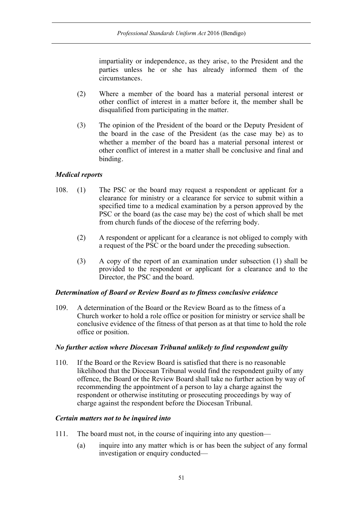impartiality or independence, as they arise, to the President and the parties unless he or she has already informed them of the circumstances.

- (2) Where a member of the board has a material personal interest or other conflict of interest in a matter before it, the member shall be disqualified from participating in the matter.
- (3) The opinion of the President of the board or the Deputy President of the board in the case of the President (as the case may be) as to whether a member of the board has a material personal interest or other conflict of interest in a matter shall be conclusive and final and binding.

## *Medical reports*

- 108. (1) The PSC or the board may request a respondent or applicant for a clearance for ministry or a clearance for service to submit within a specified time to a medical examination by a person approved by the PSC or the board (as the case may be) the cost of which shall be met from church funds of the diocese of the referring body.
	- (2) A respondent or applicant for a clearance is not obliged to comply with a request of the PSC or the board under the preceding subsection.
	- (3) A copy of the report of an examination under subsection (1) shall be provided to the respondent or applicant for a clearance and to the Director, the PSC and the board.

### *Determination of Board or Review Board as to fitness conclusive evidence*

109. A determination of the Board or the Review Board as to the fitness of a Church worker to hold a role office or position for ministry or service shall be conclusive evidence of the fitness of that person as at that time to hold the role office or position.

### *No further action where Diocesan Tribunal unlikely to find respondent guilty*

110. If the Board or the Review Board is satisfied that there is no reasonable likelihood that the Diocesan Tribunal would find the respondent guilty of any offence, the Board or the Review Board shall take no further action by way of recommending the appointment of a person to lay a charge against the respondent or otherwise instituting or prosecuting proceedings by way of charge against the respondent before the Diocesan Tribunal.

### *Certain matters not to be inquired into*

- 111. The board must not, in the course of inquiring into any question—
	- (a) inquire into any matter which is or has been the subject of any formal investigation or enquiry conducted—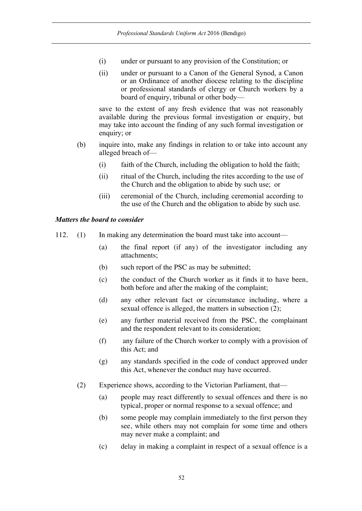- (i) under or pursuant to any provision of the Constitution; or
- (ii) under or pursuant to a Canon of the General Synod, a Canon or an Ordinance of another diocese relating to the discipline or professional standards of clergy or Church workers by a board of enquiry, tribunal or other body—

save to the extent of any fresh evidence that was not reasonably available during the previous formal investigation or enquiry, but may take into account the finding of any such formal investigation or enquiry; or

- (b) inquire into, make any findings in relation to or take into account any alleged breach of—
	- (i) faith of the Church, including the obligation to hold the faith;
	- (ii) ritual of the Church, including the rites according to the use of the Church and the obligation to abide by such use; or
	- (iii) ceremonial of the Church, including ceremonial according to the use of the Church and the obligation to abide by such use.

## *Matters the board to consider*

- 112. (1) In making any determination the board must take into account—
	- (a) the final report (if any) of the investigator including any attachments;
	- (b) such report of the PSC as may be submitted;
	- (c) the conduct of the Church worker as it finds it to have been, both before and after the making of the complaint;
	- (d) any other relevant fact or circumstance including, where a sexual offence is alleged, the matters in subsection (2);
	- (e) any further material received from the PSC, the complainant and the respondent relevant to its consideration;
	- (f) any failure of the Church worker to comply with a provision of this Act; and
	- (g) any standards specified in the code of conduct approved under this Act, whenever the conduct may have occurred.
	- (2) Experience shows, according to the Victorian Parliament, that—
		- (a) people may react differently to sexual offences and there is no typical, proper or normal response to a sexual offence; and
		- (b) some people may complain immediately to the first person they see, while others may not complain for some time and others may never make a complaint; and
		- (c) delay in making a complaint in respect of a sexual offence is a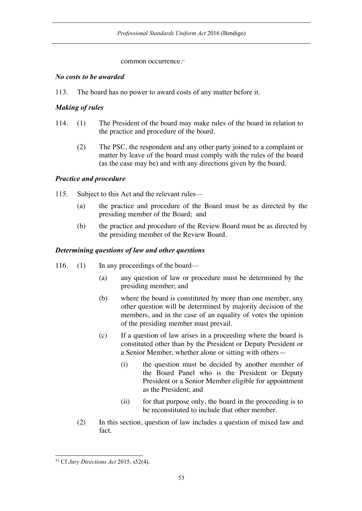### common occurrence.<sup>32</sup>

## *No costs to be awarded*

113. The board has no power to award costs of any matter before it.

# *Making of rules*

- 114. (1) The President of the board may make rules of the board in relation to the practice and procedure of the board.
	- (2) The PSC, the respondent and any other party joined to a complaint or matter by leave of the board must comply with the rules of the board (as the case may be) and with any directions given by the board.

# *Practice and procedure*

- 115. Subject to this Act and the relevant rules—
	- (a) the practice and procedure of the Board must be as directed by the presiding member of the Board; and
	- (b) the practice and procedure of the Review Board must be as directed by the presiding member of the Review Board.

# *Determining questions of law and other questions*

- 116. (1) In any proceedings of the board—
	- (a) any question of law or procedure must be determined by the presiding member; and
	- (b) where the board is constituted by more than one member, any other question will be determined by majority decision of the members, and in the case of an equality of votes the opinion of the presiding member must prevail.
	- (c) If a question of law arises in a proceeding where the board is constituted other than by the President or Deputy President or a Senior Member, whether alone or sitting with others—
		- (i) the question must be decided by another member of the Board Panel who is the President or Deputy President or a Senior Member eligible for appointment as the President; and
		- (ii) for that purpose only, the board in the proceeding is to be reconstituted to include that other member.
	- (2) In this section, question of law includes a question of mixed law and fact.

 <sup>32</sup> Cf *Jury Directions Act* 2015, s52(4).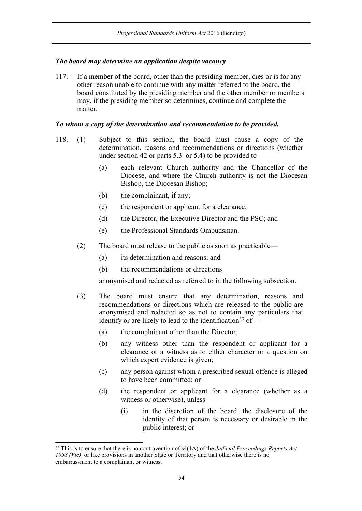## *The board may determine an application despite vacancy*

117. If a member of the board, other than the presiding member, dies or is for any other reason unable to continue with any matter referred to the board, the board constituted by the presiding member and the other member or members may, if the presiding member so determines, continue and complete the matter.

### *To whom a copy of the determination and recommendation to be provided.*

- 118. (1) Subject to this section, the board must cause a copy of the determination, reasons and recommendations or directions (whether under section 42 or parts 5.3 or 5.4) to be provided to—
	- (a) each relevant Church authority and the Chancellor of the Diocese, and where the Church authority is not the Diocesan Bishop, the Diocesan Bishop;
	- (b) the complainant, if any;
	- (c) the respondent or applicant for a clearance;
	- (d) the Director, the Executive Director and the PSC; and
	- (e) the Professional Standards Ombudsman.
	- (2) The board must release to the public as soon as practicable—
		- (a) its determination and reasons; and
		- (b) the recommendations or directions

anonymised and redacted as referred to in the following subsection.

- (3) The board must ensure that any determination, reasons and recommendations or directions which are released to the public are anonymised and redacted so as not to contain any particulars that identify or are likely to lead to the identification<sup>33</sup> of—
	- (a) the complainant other than the Director;
	- (b) any witness other than the respondent or applicant for a clearance or a witness as to either character or a question on which expert evidence is given;
	- (c) any person against whom a prescribed sexual offence is alleged to have been committed; or
	- (d) the respondent or applicant for a clearance (whether as a witness or otherwise), unless—
		- (i) in the discretion of the board, the disclosure of the identity of that person is necessary or desirable in the public interest; or

 <sup>33</sup> This is to ensure that there is no contravention of s4(1A) of the *Judicial Proceedings Reports Act 1958 (Vic)* or like provisions in another State or Territory and that otherwise there is no embarrassment to a complainant or witness.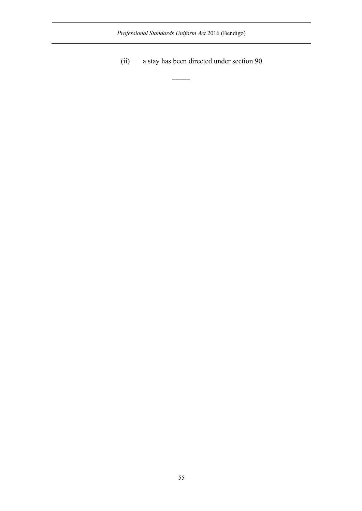*Professional Standards Uniform Act* 2016 (Bendigo)

 $\overline{\phantom{a}}$ 

(ii) a stay has been directed under section 90.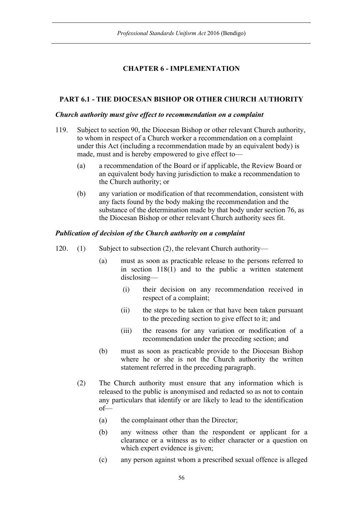# **CHAPTER 6 - IMPLEMENTATION**

# **PART 6.1 - THE DIOCESAN BISHOP OR OTHER CHURCH AUTHORITY**

## *Church authority must give effect to recommendation on a complaint*

- 119. Subject to section 90, the Diocesan Bishop or other relevant Church authority, to whom in respect of a Church worker a recommendation on a complaint under this Act (including a recommendation made by an equivalent body) is made, must and is hereby empowered to give effect to—
	- (a) a recommendation of the Board or if applicable, the Review Board or an equivalent body having jurisdiction to make a recommendation to the Church authority; or
	- (b) any variation or modification of that recommendation, consistent with any facts found by the body making the recommendation and the substance of the determination made by that body under section 76, as the Diocesan Bishop or other relevant Church authority sees fit.

## *Publication of decision of the Church authority on a complaint*

- 120. (1) Subject to subsection (2), the relevant Church authority—
	- (a) must as soon as practicable release to the persons referred to in section 118(1) and to the public a written statement disclosing—
		- (i) their decision on any recommendation received in respect of a complaint;
		- (ii) the steps to be taken or that have been taken pursuant to the preceding section to give effect to it; and
		- (iii) the reasons for any variation or modification of a recommendation under the preceding section; and
	- (b) must as soon as practicable provide to the Diocesan Bishop where he or she is not the Church authority the written statement referred in the preceding paragraph.
	- (2) The Church authority must ensure that any information which is released to the public is anonymised and redacted so as not to contain any particulars that identify or are likely to lead to the identification of—
		- (a) the complainant other than the Director;
		- (b) any witness other than the respondent or applicant for a clearance or a witness as to either character or a question on which expert evidence is given;
		- (c) any person against whom a prescribed sexual offence is alleged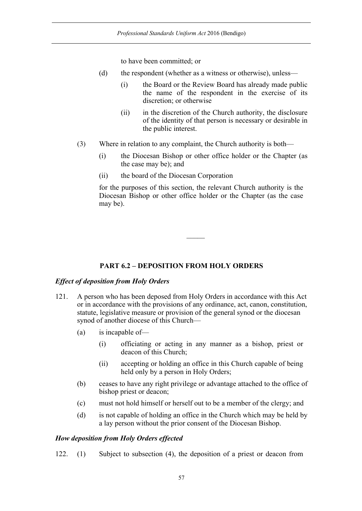to have been committed; or

- (d) the respondent (whether as a witness or otherwise), unless—
	- (i) the Board or the Review Board has already made public the name of the respondent in the exercise of its discretion; or otherwise
	- (ii) in the discretion of the Church authority, the disclosure of the identity of that person is necessary or desirable in the public interest.
- (3) Where in relation to any complaint, the Church authority is both—
	- (i) the Diocesan Bishop or other office holder or the Chapter (as the case may be); and
	- (ii) the board of the Diocesan Corporation

for the purposes of this section, the relevant Church authority is the Diocesan Bishop or other office holder or the Chapter (as the case may be).

## **PART 6.2 – DEPOSITION FROM HOLY ORDERS**

### *Effect of deposition from Holy Orders*

- 121. A person who has been deposed from Holy Orders in accordance with this Act or in accordance with the provisions of any ordinance, act, canon, constitution, statute, legislative measure or provision of the general synod or the diocesan synod of another diocese of this Church—
	- (a) is incapable of—
		- (i) officiating or acting in any manner as a bishop, priest or deacon of this Church;
		- (ii) accepting or holding an office in this Church capable of being held only by a person in Holy Orders;
	- (b) ceases to have any right privilege or advantage attached to the office of bishop priest or deacon;
	- (c) must not hold himself or herself out to be a member of the clergy; and
	- (d) is not capable of holding an office in the Church which may be held by a lay person without the prior consent of the Diocesan Bishop.

### *How deposition from Holy Orders effected*

122. (1) Subject to subsection (4), the deposition of a priest or deacon from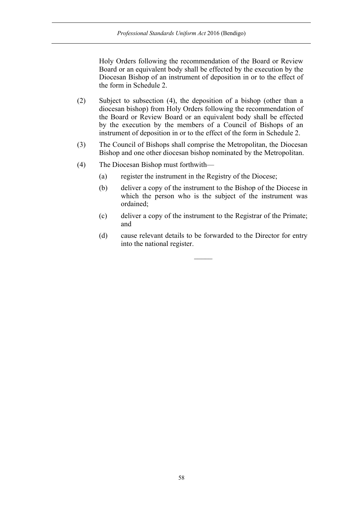Holy Orders following the recommendation of the Board or Review Board or an equivalent body shall be effected by the execution by the Diocesan Bishop of an instrument of deposition in or to the effect of the form in Schedule 2.

- (2) Subject to subsection (4), the deposition of a bishop (other than a diocesan bishop) from Holy Orders following the recommendation of the Board or Review Board or an equivalent body shall be effected by the execution by the members of a Council of Bishops of an instrument of deposition in or to the effect of the form in Schedule 2.
- (3) The Council of Bishops shall comprise the Metropolitan, the Diocesan Bishop and one other diocesan bishop nominated by the Metropolitan.
- (4) The Diocesan Bishop must forthwith—
	- (a) register the instrument in the Registry of the Diocese;
	- (b) deliver a copy of the instrument to the Bishop of the Diocese in which the person who is the subject of the instrument was ordained;
	- (c) deliver a copy of the instrument to the Registrar of the Primate; and
	- (d) cause relevant details to be forwarded to the Director for entry into the national register.

 $\mathcal{L}$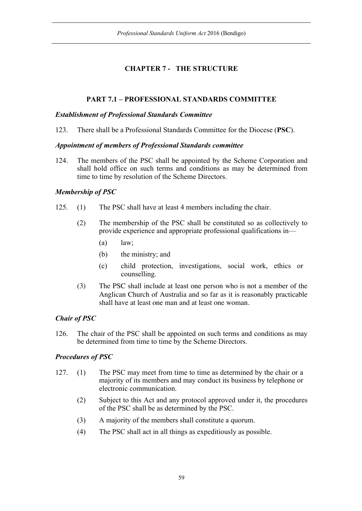# **CHAPTER 7 - THE STRUCTURE**

# **PART 7.1 – PROFESSIONAL STANDARDS COMMITTEE**

## *Establishment of Professional Standards Committee*

123. There shall be a Professional Standards Committee for the Diocese (**PSC**).

## *Appointment of members of Professional Standards committee*

124. The members of the PSC shall be appointed by the Scheme Corporation and shall hold office on such terms and conditions as may be determined from time to time by resolution of the Scheme Directors.

# *Membership of PSC*

- 125. (1) The PSC shall have at least 4 members including the chair.
	- (2) The membership of the PSC shall be constituted so as collectively to provide experience and appropriate professional qualifications in—
		- $(a)$  law;
		- (b) the ministry; and
		- (c) child protection, investigations, social work, ethics or counselling.
	- (3) The PSC shall include at least one person who is not a member of the Anglican Church of Australia and so far as it is reasonably practicable shall have at least one man and at least one woman.

# *Chair of PSC*

126. The chair of the PSC shall be appointed on such terms and conditions as may be determined from time to time by the Scheme Directors.

# *Procedures of PSC*

- 127. (1) The PSC may meet from time to time as determined by the chair or a majority of its members and may conduct its business by telephone or electronic communication.
	- (2) Subject to this Act and any protocol approved under it, the procedures of the PSC shall be as determined by the PSC.
	- (3) A majority of the members shall constitute a quorum.
	- (4) The PSC shall act in all things as expeditiously as possible.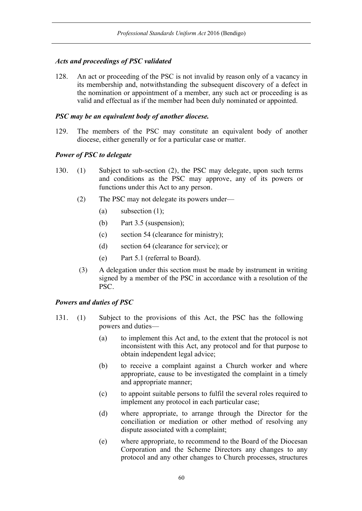## *Acts and proceedings of PSC validated*

128. An act or proceeding of the PSC is not invalid by reason only of a vacancy in its membership and, notwithstanding the subsequent discovery of a defect in the nomination or appointment of a member, any such act or proceeding is as valid and effectual as if the member had been duly nominated or appointed.

## *PSC may be an equivalent body of another diocese.*

129. The members of the PSC may constitute an equivalent body of another diocese, either generally or for a particular case or matter.

## *Power of PSC to delegate*

- 130. (1) Subject to sub-section (2), the PSC may delegate, upon such terms and conditions as the PSC may approve, any of its powers or functions under this Act to any person.
	- (2) The PSC may not delegate its powers under—
		- (a) subsection  $(1)$ ;
		- (b) Part 3.5 (suspension);
		- (c) section 54 (clearance for ministry);
		- (d) section 64 (clearance for service); or
		- (e) Part 5.1 (referral to Board).
	- (3) A delegation under this section must be made by instrument in writing signed by a member of the PSC in accordance with a resolution of the PSC.

### *Powers and duties of PSC*

- 131. (1) Subject to the provisions of this Act, the PSC has the following powers and duties—
	- (a) to implement this Act and, to the extent that the protocol is not inconsistent with this Act, any protocol and for that purpose to obtain independent legal advice;
	- (b) to receive a complaint against a Church worker and where appropriate, cause to be investigated the complaint in a timely and appropriate manner;
	- (c) to appoint suitable persons to fulfil the several roles required to implement any protocol in each particular case;
	- (d) where appropriate, to arrange through the Director for the conciliation or mediation or other method of resolving any dispute associated with a complaint;
	- (e) where appropriate, to recommend to the Board of the Diocesan Corporation and the Scheme Directors any changes to any protocol and any other changes to Church processes, structures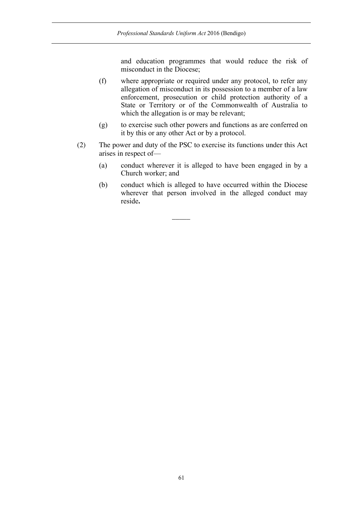and education programmes that would reduce the risk of misconduct in the Diocese;

- (f) where appropriate or required under any protocol, to refer any allegation of misconduct in its possession to a member of a law enforcement, prosecution or child protection authority of a State or Territory or of the Commonwealth of Australia to which the allegation is or may be relevant;
- (g) to exercise such other powers and functions as are conferred on it by this or any other Act or by a protocol.
- (2) The power and duty of the PSC to exercise its functions under this Act arises in respect of—

 $\overline{\phantom{a}}$ 

- (a) conduct wherever it is alleged to have been engaged in by a Church worker; and
- (b) conduct which is alleged to have occurred within the Diocese wherever that person involved in the alleged conduct may reside**.**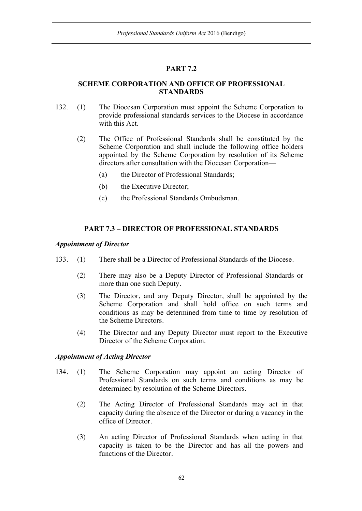# **PART 7.2**

## **SCHEME CORPORATION AND OFFICE OF PROFESSIONAL STANDARDS**

- 132. (1) The Diocesan Corporation must appoint the Scheme Corporation to provide professional standards services to the Diocese in accordance with this Act.
	- (2) The Office of Professional Standards shall be constituted by the Scheme Corporation and shall include the following office holders appointed by the Scheme Corporation by resolution of its Scheme directors after consultation with the Diocesan Corporation—
		- (a) the Director of Professional Standards;
		- (b) the Executive Director;
		- (c) the Professional Standards Ombudsman.

## **PART 7.3 – DIRECTOR OF PROFESSIONAL STANDARDS**

## *Appointment of Director*

- 133. (1) There shall be a Director of Professional Standards of the Diocese.
	- (2) There may also be a Deputy Director of Professional Standards or more than one such Deputy.
	- (3) The Director, and any Deputy Director, shall be appointed by the Scheme Corporation and shall hold office on such terms and conditions as may be determined from time to time by resolution of the Scheme Directors.
	- (4) The Director and any Deputy Director must report to the Executive Director of the Scheme Corporation.

## *Appointment of Acting Director*

- 134. (1) The Scheme Corporation may appoint an acting Director of Professional Standards on such terms and conditions as may be determined by resolution of the Scheme Directors.
	- (2) The Acting Director of Professional Standards may act in that capacity during the absence of the Director or during a vacancy in the office of Director.
	- (3) An acting Director of Professional Standards when acting in that capacity is taken to be the Director and has all the powers and functions of the Director.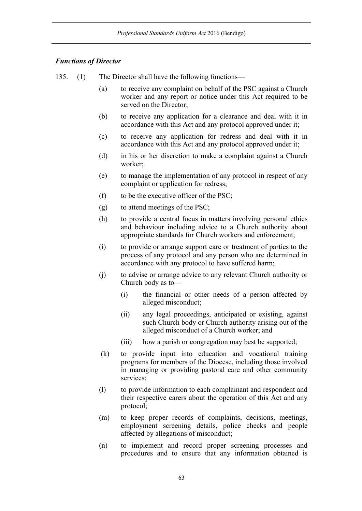## *Functions of Director*

- 135. (1) The Director shall have the following functions—
	- (a) to receive any complaint on behalf of the PSC against a Church worker and any report or notice under this Act required to be served on the Director;
	- (b) to receive any application for a clearance and deal with it in accordance with this Act and any protocol approved under it;
	- (c) to receive any application for redress and deal with it in accordance with this Act and any protocol approved under it;
	- (d) in his or her discretion to make a complaint against a Church worker;
	- (e) to manage the implementation of any protocol in respect of any complaint or application for redress;
	- (f) to be the executive officer of the PSC;
	- (g) to attend meetings of the PSC;
	- (h) to provide a central focus in matters involving personal ethics and behaviour including advice to a Church authority about appropriate standards for Church workers and enforcement;
	- (i) to provide or arrange support care or treatment of parties to the process of any protocol and any person who are determined in accordance with any protocol to have suffered harm;
	- (j) to advise or arrange advice to any relevant Church authority or Church body as to—
		- (i) the financial or other needs of a person affected by alleged misconduct;
		- (ii) any legal proceedings, anticipated or existing, against such Church body or Church authority arising out of the alleged misconduct of a Church worker; and
		- (iii) how a parish or congregation may best be supported;
	- (k) to provide input into education and vocational training programs for members of the Diocese, including those involved in managing or providing pastoral care and other community services;
	- (l) to provide information to each complainant and respondent and their respective carers about the operation of this Act and any protocol;
	- (m) to keep proper records of complaints, decisions, meetings, employment screening details, police checks and people affected by allegations of misconduct;
	- (n) to implement and record proper screening processes and procedures and to ensure that any information obtained is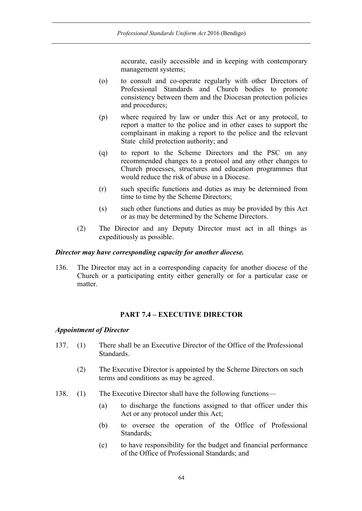accurate, easily accessible and in keeping with contemporary management systems;

- (o) to consult and co-operate regularly with other Directors of Professional Standards and Church bodies to promote consistency between them and the Diocesan protection policies and procedures;
- (p) where required by law or under this Act or any protocol, to report a matter to the police and in other cases to support the complainant in making a report to the police and the relevant State child protection authority; and
- (q) to report to the Scheme Directors and the PSC on any recommended changes to a protocol and any other changes to Church processes, structures and education programmes that would reduce the risk of abuse in a Diocese.
- (r) such specific functions and duties as may be determined from time to time by the Scheme Directors;
- (s) such other functions and duties as may be provided by this Act or as may be determined by the Scheme Directors.
- (2) The Director and any Deputy Director must act in all things as expeditiously as possible.

### *Director may have corresponding capacity for another diocese.*

136. The Director may act in a corresponding capacity for another diocese of the Church or a participating entity either generally or for a particular case or matter.

## **PART 7.4 – EXECUTIVE DIRECTOR**

### *Appointment of Director*

- 137. (1) There shall be an Executive Director of the Office of the Professional Standards.
	- (2) The Executive Director is appointed by the Scheme Directors on such terms and conditions as may be agreed.
- 138. (1) The Executive Director shall have the following functions—
	- (a) to discharge the functions assigned to that officer under this Act or any protocol under this Act;
	- (b) to oversee the operation of the Office of Professional Standards;
	- (c) to have responsibility for the budget and financial performance of the Office of Professional Standards; and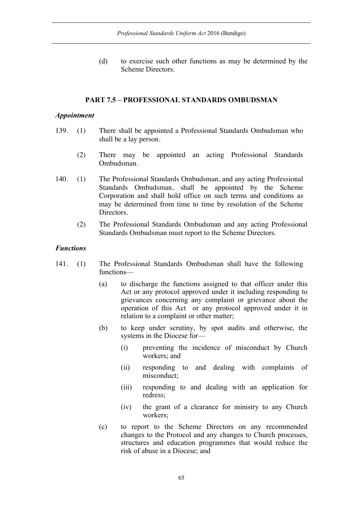(d) to exercise such other functions as may be determined by the Scheme Directors.

### **PART 7.5 – PROFESSIONAL STANDARDS OMBUDSMAN**

### *Appointment*

- 139. (1) There shall be appointed a Professional Standards Ombudsman who shall be a lay person.
	- (2) There may be appointed an acting Professional Standards Ombudsman.
- 140. (1) The Professional Standards Ombudsman, and any acting Professional Standards Ombudsman, shall be appointed by the Scheme Corporation and shall hold office on such terms and conditions as may be determined from time to time by resolution of the Scheme Directors.
	- (2) The Professional Standards Ombudsman and any acting Professional Standards Ombudsman must report to the Scheme Directors.

### *Functions*

- 141. (1) The Professional Standards Ombudsman shall have the following functions—
	- (a) to discharge the functions assigned to that officer under this Act or any protocol approved under it including responding to grievances concerning any complaint or grievance about the operation of this Act or any protocol approved under it in relation to a complaint or other matter;
	- (b) to keep under scrutiny, by spot audits and otherwise, the systems in the Diocese for—
		- (i) preventing the incidence of misconduct by Church workers; and
		- (ii) responding to and dealing with complaints of misconduct;
		- (iii) responding to and dealing with an application for redress;
		- (iv) the grant of a clearance for ministry to any Church workers;
	- (c) to report to the Scheme Directors on any recommended changes to the Protocol and any changes to Church processes, structures and education programmes that would reduce the risk of abuse in a Diocese; and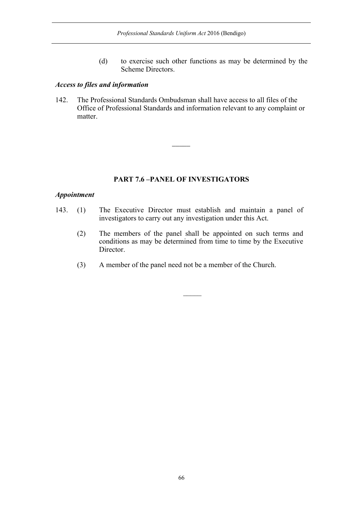(d) to exercise such other functions as may be determined by the Scheme Directors.

### *Access to files and information*

142. The Professional Standards Ombudsman shall have access to all files of the Office of Professional Standards and information relevant to any complaint or matter.

 $\overline{\phantom{a}}$ 

### **PART 7.6 –PANEL OF INVESTIGATORS**

### *Appointment*

- 143. (1) The Executive Director must establish and maintain a panel of investigators to carry out any investigation under this Act.
	- (2) The members of the panel shall be appointed on such terms and conditions as may be determined from time to time by the Executive Director.
	- (3) A member of the panel need not be a member of the Church.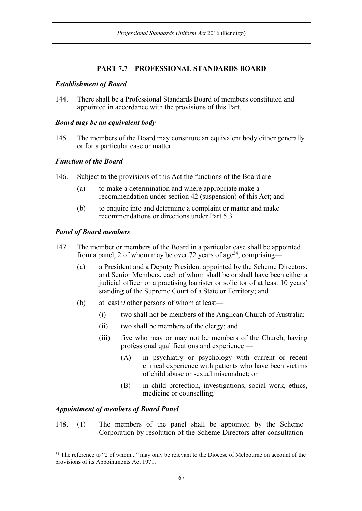# **PART 7.7 – PROFESSIONAL STANDARDS BOARD**

## *Establishment of Board*

144. There shall be a Professional Standards Board of members constituted and appointed in accordance with the provisions of this Part.

### *Board may be an equivalent body*

145. The members of the Board may constitute an equivalent body either generally or for a particular case or matter.

## *Function of the Board*

- 146. Subject to the provisions of this Act the functions of the Board are—
	- (a) to make a determination and where appropriate make a recommendation under section 42 (suspension) of this Act; and
	- (b) to enquire into and determine a complaint or matter and make recommendations or directions under Part 5.3.

## *Panel of Board members*

- 147. The member or members of the Board in a particular case shall be appointed from a panel, 2 of whom may be over 72 years of age<sup>34</sup>, comprising—
	- (a) a President and a Deputy President appointed by the Scheme Directors, and Senior Members, each of whom shall be or shall have been either a judicial officer or a practising barrister or solicitor of at least 10 years' standing of the Supreme Court of a State or Territory; and
	- (b) at least 9 other persons of whom at least—
		- (i) two shall not be members of the Anglican Church of Australia;
		- (ii) two shall be members of the clergy; and
		- (iii) five who may or may not be members of the Church, having professional qualifications and experience —
			- (A) in psychiatry or psychology with current or recent clinical experience with patients who have been victims of child abuse or sexual misconduct; or
			- (B) in child protection, investigations, social work, ethics, medicine or counselling.

## *Appointment of members of Board Panel*

148. (1) The members of the panel shall be appointed by the Scheme Corporation by resolution of the Scheme Directors after consultation

<sup>&</sup>lt;sup>34</sup> The reference to "2 of whom..." may only be relevant to the Diocese of Melbourne on account of the provisions of its Appointments Act 1971.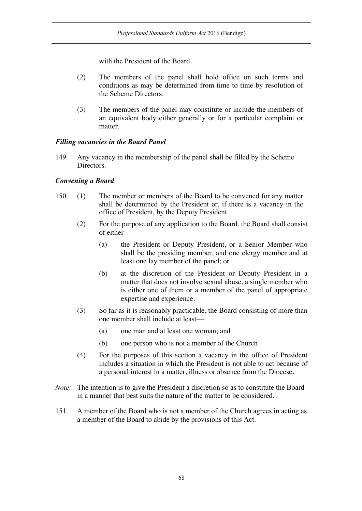with the President of the Board.

- (2) The members of the panel shall hold office on such terms and conditions as may be determined from time to time by resolution of the Scheme Directors.
- (3) The members of the panel may constitute or include the members of an equivalent body either generally or for a particular complaint or matter.

## *Filling vacancies in the Board Panel*

149. Any vacancy in the membership of the panel shall be filled by the Scheme Directors.

## *Convening a Board*

- 150. (1) The member or members of the Board to be convened for any matter shall be determined by the President or, if there is a vacancy in the office of President, by the Deputy President.
	- (2) For the purpose of any application to the Board, the Board shall consist of either—
		- (a) the President or Deputy President, or a Senior Member who shall be the presiding member, and one clergy member and at least one lay member of the panel; or
		- (b) at the discretion of the President or Deputy President in a matter that does not involve sexual abuse, a single member who is either one of them or a member of the panel of appropriate expertise and experience.
	- (3) So far as it is reasonably practicable, the Board consisting of more than one member shall include at least—
		- (a) one man and at least one woman; and
		- (b) one person who is not a member of the Church.
	- (4) For the purposes of this section a vacancy in the office of President includes a situation in which the President is not able to act because of a personal interest in a matter, illness or absence from the Diocese.
- *Note:* The intention is to give the President a discretion so as to constitute the Board in a manner that best suits the nature of the matter to be considered.
- 151. A member of the Board who is not a member of the Church agrees in acting as a member of the Board to abide by the provisions of this Act.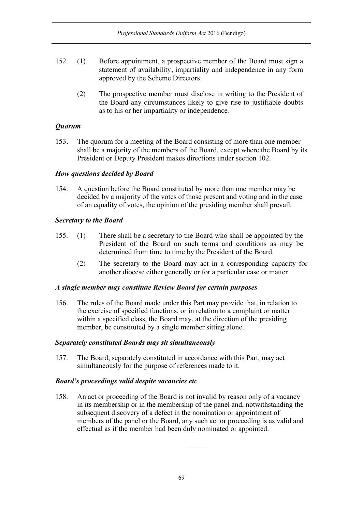- 152. (1) Before appointment, a prospective member of the Board must sign a statement of availability, impartiality and independence in any form approved by the Scheme Directors.
	- (2) The prospective member must disclose in writing to the President of the Board any circumstances likely to give rise to justifiable doubts as to his or her impartiality or independence.

## *Quorum*

153. The quorum for a meeting of the Board consisting of more than one member shall be a majority of the members of the Board, except where the Board by its President or Deputy President makes directions under section 102.

## *How questions decided by Board*

154. A question before the Board constituted by more than one member may be decided by a majority of the votes of those present and voting and in the case of an equality of votes, the opinion of the presiding member shall prevail.

## *Secretary to the Board*

- 155. (1) There shall be a secretary to the Board who shall be appointed by the President of the Board on such terms and conditions as may be determined from time to time by the President of the Board.
	- (2) The secretary to the Board may act in a corresponding capacity for another diocese either generally or for a particular case or matter.

## *A single member may constitute Review Board for certain purposes*

156. The rules of the Board made under this Part may provide that, in relation to the exercise of specified functions, or in relation to a complaint or matter within a specified class, the Board may, at the direction of the presiding member, be constituted by a single member sitting alone.

## *Separately constituted Boards may sit simultaneously*

157. The Board, separately constituted in accordance with this Part, may act simultaneously for the purpose of references made to it.

## *Board's proceedings valid despite vacancies etc*

158. An act or proceeding of the Board is not invalid by reason only of a vacancy in its membership or in the membership of the panel and, notwithstanding the subsequent discovery of a defect in the nomination or appointment of members of the panel or the Board, any such act or proceeding is as valid and effectual as if the member had been duly nominated or appointed.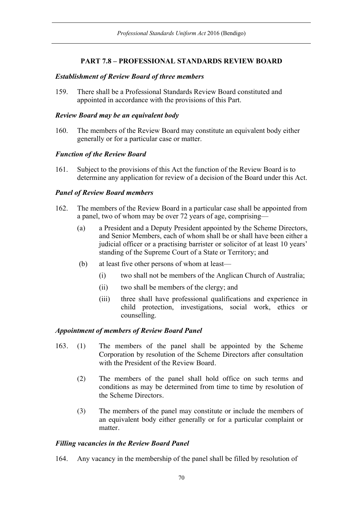## **PART 7.8 – PROFESSIONAL STANDARDS REVIEW BOARD**

### *Establishment of Review Board of three members*

159. There shall be a Professional Standards Review Board constituted and appointed in accordance with the provisions of this Part.

### *Review Board may be an equivalent body*

160. The members of the Review Board may constitute an equivalent body either generally or for a particular case or matter.

### *Function of the Review Board*

161. Subject to the provisions of this Act the function of the Review Board is to determine any application for review of a decision of the Board under this Act.

### *Panel of Review Board members*

- 162. The members of the Review Board in a particular case shall be appointed from a panel, two of whom may be over 72 years of age, comprising—
	- (a) a President and a Deputy President appointed by the Scheme Directors, and Senior Members, each of whom shall be or shall have been either a judicial officer or a practising barrister or solicitor of at least 10 years' standing of the Supreme Court of a State or Territory; and
	- (b) at least five other persons of whom at least—
		- (i) two shall not be members of the Anglican Church of Australia;
		- (ii) two shall be members of the clergy; and
		- (iii) three shall have professional qualifications and experience in child protection, investigations, social work, ethics or counselling.

## *Appointment of members of Review Board Panel*

- 163. (1) The members of the panel shall be appointed by the Scheme Corporation by resolution of the Scheme Directors after consultation with the President of the Review Board.
	- (2) The members of the panel shall hold office on such terms and conditions as may be determined from time to time by resolution of the Scheme Directors.
	- (3) The members of the panel may constitute or include the members of an equivalent body either generally or for a particular complaint or matter.

## *Filling vacancies in the Review Board Panel*

164. Any vacancy in the membership of the panel shall be filled by resolution of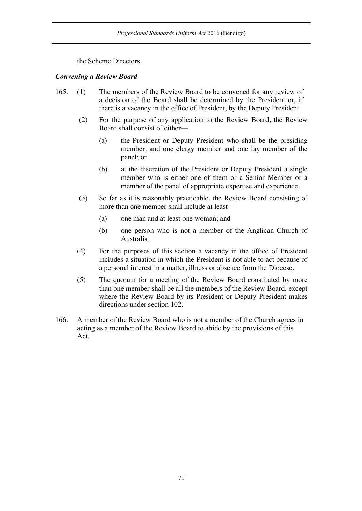the Scheme Directors.

## *Convening a Review Board*

- 165. (1) The members of the Review Board to be convened for any review of a decision of the Board shall be determined by the President or, if there is a vacancy in the office of President, by the Deputy President.
	- (2) For the purpose of any application to the Review Board, the Review Board shall consist of either—
		- (a) the President or Deputy President who shall be the presiding member, and one clergy member and one lay member of the panel; or
		- (b) at the discretion of the President or Deputy President a single member who is either one of them or a Senior Member or a member of the panel of appropriate expertise and experience.
	- (3) So far as it is reasonably practicable, the Review Board consisting of more than one member shall include at least—
		- (a) one man and at least one woman; and
		- (b) one person who is not a member of the Anglican Church of Australia.
	- (4) For the purposes of this section a vacancy in the office of President includes a situation in which the President is not able to act because of a personal interest in a matter, illness or absence from the Diocese.
	- (5) The quorum for a meeting of the Review Board constituted by more than one member shall be all the members of the Review Board, except where the Review Board by its President or Deputy President makes directions under section 102.
- 166. A member of the Review Board who is not a member of the Church agrees in acting as a member of the Review Board to abide by the provisions of this Act.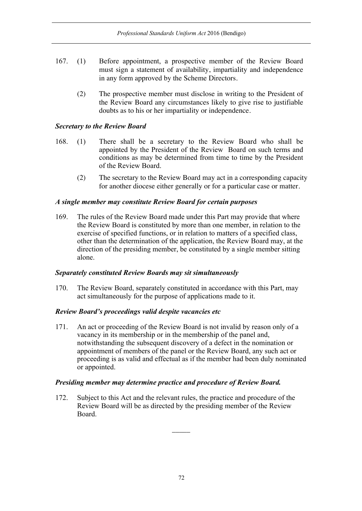- 167. (1) Before appointment, a prospective member of the Review Board must sign a statement of availability, impartiality and independence in any form approved by the Scheme Directors.
	- (2) The prospective member must disclose in writing to the President of the Review Board any circumstances likely to give rise to justifiable doubts as to his or her impartiality or independence.

## *Secretary to the Review Board*

- 168. (1) There shall be a secretary to the Review Board who shall be appointed by the President of the Review Board on such terms and conditions as may be determined from time to time by the President of the Review Board.
	- (2) The secretary to the Review Board may act in a corresponding capacity for another diocese either generally or for a particular case or matter.

## *A single member may constitute Review Board for certain purposes*

169. The rules of the Review Board made under this Part may provide that where the Review Board is constituted by more than one member, in relation to the exercise of specified functions, or in relation to matters of a specified class, other than the determination of the application, the Review Board may, at the direction of the presiding member, be constituted by a single member sitting alone.

## *Separately constituted Review Boards may sit simultaneously*

170. The Review Board, separately constituted in accordance with this Part, may act simultaneously for the purpose of applications made to it.

## *Review Board's proceedings valid despite vacancies etc*

171. An act or proceeding of the Review Board is not invalid by reason only of a vacancy in its membership or in the membership of the panel and, notwithstanding the subsequent discovery of a defect in the nomination or appointment of members of the panel or the Review Board, any such act or proceeding is as valid and effectual as if the member had been duly nominated or appointed.

## *Presiding member may determine practice and procedure of Review Board.*

172. Subject to this Act and the relevant rules, the practice and procedure of the Review Board will be as directed by the presiding member of the Review Board.

 $\overline{\phantom{a}}$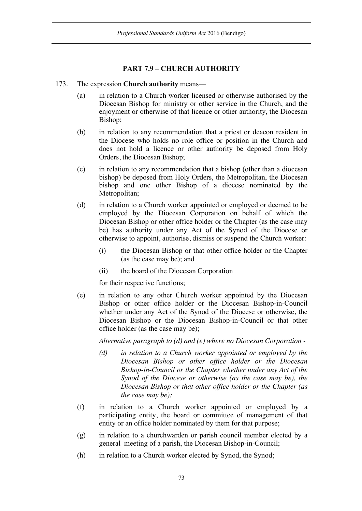# **PART 7.9 – CHURCH AUTHORITY**

### 173. The expression **Church authority** means—

- (a) in relation to a Church worker licensed or otherwise authorised by the Diocesan Bishop for ministry or other service in the Church, and the enjoyment or otherwise of that licence or other authority, the Diocesan Bishop;
- (b) in relation to any recommendation that a priest or deacon resident in the Diocese who holds no role office or position in the Church and does not hold a licence or other authority be deposed from Holy Orders, the Diocesan Bishop;
- (c) in relation to any recommendation that a bishop (other than a diocesan bishop) be deposed from Holy Orders, the Metropolitan, the Diocesan bishop and one other Bishop of a diocese nominated by the Metropolitan;
- (d) in relation to a Church worker appointed or employed or deemed to be employed by the Diocesan Corporation on behalf of which the Diocesan Bishop or other office holder or the Chapter (as the case may be) has authority under any Act of the Synod of the Diocese or otherwise to appoint, authorise, dismiss or suspend the Church worker:
	- (i) the Diocesan Bishop or that other office holder or the Chapter (as the case may be); and
	- (ii) the board of the Diocesan Corporation

for their respective functions;

(e) in relation to any other Church worker appointed by the Diocesan Bishop or other office holder or the Diocesan Bishop-in-Council whether under any Act of the Synod of the Diocese or otherwise, the Diocesan Bishop or the Diocesan Bishop-in-Council or that other office holder (as the case may be);

*Alternative paragraph to (d) and (e) where no Diocesan Corporation -*

- *(d) in relation to a Church worker appointed or employed by the Diocesan Bishop or other office holder or the Diocesan Bishop-in-Council or the Chapter whether under any Act of the Synod of the Diocese or otherwise (as the case may be), the Diocesan Bishop or that other office holder or the Chapter (as the case may be);*
- (f) in relation to a Church worker appointed or employed by a participating entity, the board or committee of management of that entity or an office holder nominated by them for that purpose;
- (g) in relation to a churchwarden or parish council member elected by a general meeting of a parish, the Diocesan Bishop-in-Council;
- (h) in relation to a Church worker elected by Synod, the Synod;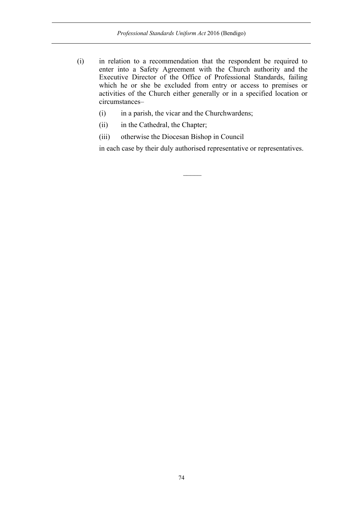- (i) in relation to a recommendation that the respondent be required to enter into a Safety Agreement with the Church authority and the Executive Director of the Office of Professional Standards, failing which he or she be excluded from entry or access to premises or activities of the Church either generally or in a specified location or circumstances–
	- (i) in a parish, the vicar and the Churchwardens;
	- (ii) in the Cathedral, the Chapter;
	- (iii) otherwise the Diocesan Bishop in Council

in each case by their duly authorised representative or representatives.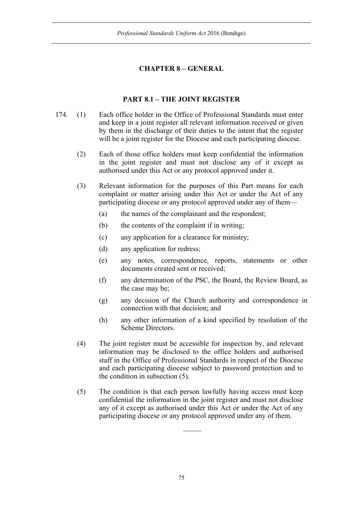# **CHAPTER 8 – GENERAL**

# **PART 8.1 – THE JOINT REGISTER**

- 174. (1) Each office holder in the Office of Professional Standards must enter and keep in a joint register all relevant information received or given by them in the discharge of their duties to the intent that the register will be a joint register for the Diocese and each participating diocese.
	- (2) Each of those office holders must keep confidential the information in the joint register and must not disclose any of it except as authorised under this Act or any protocol approved under it.
	- (3) Relevant information for the purposes of this Part means for each complaint or matter arising under this Act or under the Act of any participating diocese or any protocol approved under any of them—
		- (a) the names of the complainant and the respondent;
		- (b) the contents of the complaint if in writing;
		- (c) any application for a clearance for ministry;
		- (d) any application for redress;
		- (e) any notes, correspondence, reports, statements or other documents created sent or received;
		- (f) any determination of the PSC, the Board, the Review Board, as the case may be;
		- (g) any decision of the Church authority and correspondence in connection with that decision; and
		- (h) any other information of a kind specified by resolution of the Scheme Directors.
	- (4) The joint register must be accessible for inspection by, and relevant information may be disclosed to the office holders and authorised staff in the Office of Professional Standards in respect of the Diocese and each participating diocese subject to password protection and to the condition in subsection (5).
	- (5) The condition is that each person lawfully having access must keep confidential the information in the joint register and must not disclose any of it except as authorised under this Act or under the Act of any participating diocese or any protocol approved under any of them.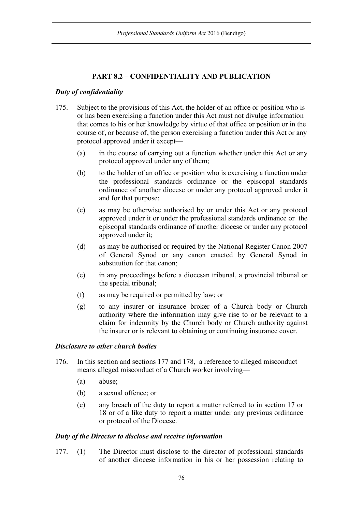# **PART 8.2 – CONFIDENTIALITY AND PUBLICATION**

# *Duty of confidentiality*

- 175. Subject to the provisions of this Act, the holder of an office or position who is or has been exercising a function under this Act must not divulge information that comes to his or her knowledge by virtue of that office or position or in the course of, or because of, the person exercising a function under this Act or any protocol approved under it except—
	- (a) in the course of carrying out a function whether under this Act or any protocol approved under any of them;
	- (b) to the holder of an office or position who is exercising a function under the professional standards ordinance or the episcopal standards ordinance of another diocese or under any protocol approved under it and for that purpose;
	- (c) as may be otherwise authorised by or under this Act or any protocol approved under it or under the professional standards ordinance or the episcopal standards ordinance of another diocese or under any protocol approved under it;
	- (d) as may be authorised or required by the National Register Canon 2007 of General Synod or any canon enacted by General Synod in substitution for that canon;
	- (e) in any proceedings before a diocesan tribunal, a provincial tribunal or the special tribunal;
	- (f) as may be required or permitted by law; or
	- (g) to any insurer or insurance broker of a Church body or Church authority where the information may give rise to or be relevant to a claim for indemnity by the Church body or Church authority against the insurer or is relevant to obtaining or continuing insurance cover.

# *Disclosure to other church bodies*

- 176. In this section and sections 177 and 178, a reference to alleged misconduct means alleged misconduct of a Church worker involving—
	- (a) abuse;
	- (b) a sexual offence; or
	- (c) any breach of the duty to report a matter referred to in section 17 or 18 or of a like duty to report a matter under any previous ordinance or protocol of the Diocese.

#### *Duty of the Director to disclose and receive information*

177. (1) The Director must disclose to the director of professional standards of another diocese information in his or her possession relating to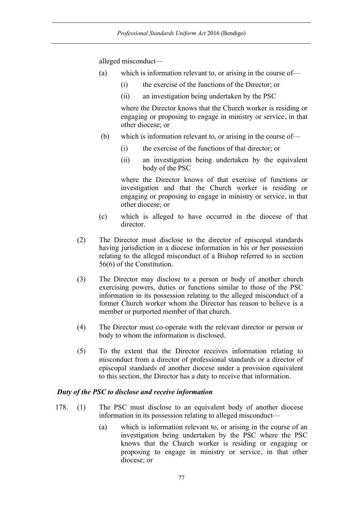alleged misconduct—

- (a) which is information relevant to, or arising in the course of—
	- (i) the exercise of the functions of the Director; or
	- (ii) an investigation being undertaken by the PSC

where the Director knows that the Church worker is residing or engaging or proposing to engage in ministry or service, in that other diocese; or

- (b) which is information relevant to, or arising in the course of—
	- (i) the exercise of the functions of that director; or
	- (ii) an investigation being undertaken by the equivalent body of the PSC

where the Director knows of that exercise of functions or investigation and that the Church worker is residing or engaging or proposing to engage in ministry or service, in that other diocese; or

- (c) which is alleged to have occurred in the diocese of that director.
- (2) The Director must disclose to the director of episcopal standards having jurisdiction in a diocese information in his or her possession relating to the alleged misconduct of a Bishop referred to in section 56(6) of the Constitution.
- (3) The Director may disclose to a person or body of another church exercising powers, duties or functions similar to those of the PSC information in its possession relating to the alleged misconduct of a former Church worker whom the Director has reason to believe is a member or purported member of that church.
- (4) The Director must co-operate with the relevant director or person or body to whom the information is disclosed.
- (5) To the extent that the Director receives information relating to misconduct from a director of professional standards or a director of episcopal standards of another diocese under a provision equivalent to this section, the Director has a duty to receive that information.

#### *Duty of the PSC to disclose and receive information*

- 178. (1) The PSC must disclose to an equivalent body of another diocese information in its possession relating to alleged misconduct—
	- (a) which is information relevant to, or arising in the course of an investigation being undertaken by the PSC where the PSC knows that the Church worker is residing or engaging or proposing to engage in ministry or service, in that other diocese; or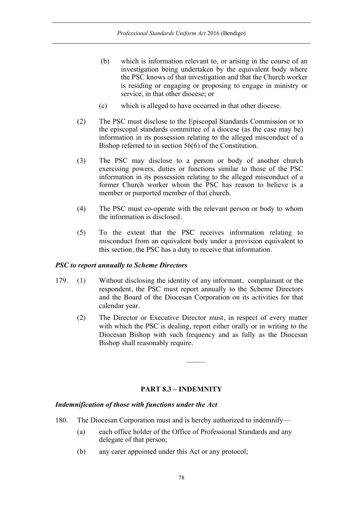- (b) which is information relevant to, or arising in the course of an investigation being undertaken by the equivalent body where the PSC knows of that investigation and that the Church worker is residing or engaging or proposing to engage in ministry or service, in that other diocese; or
- (c) which is alleged to have occurred in that other diocese.
- (2) The PSC must disclose to the Episcopal Standards Commission or to the episcopal standards committee of a diocese (as the case may be) information in its possession relating to the alleged misconduct of a Bishop referred to in section 56(6) of the Constitution.
- (3) The PSC may disclose to a person or body of another church exercising powers, duties or functions similar to those of the PSC information in its possession relating to the alleged misconduct of a former Church worker whom the PSC has reason to believe is a member or purported member of that church.
- (4) The PSC must co-operate with the relevant person or body to whom the information is disclosed.
- (5) To the extent that the PSC receives information relating to misconduct from an equivalent body under a provision equivalent to this section, the PSC has a duty to receive that information.

# *PSC to report annually to Scheme Directors*

- 179. (1) Without disclosing the identity of any informant, complainant or the respondent, the PSC must report annually to the Scheme Directors and the Board of the Diocesan Corporation on its activities for that calendar year.
	- (2) The Director or Executive Director must, in respect of every matter with which the PSC is dealing, report either orally or in writing to the Diocesan Bishop with such frequency and as fully as the Diocesan Bishop shall reasonably require.

# **PART 8.3 – INDEMNITY**

# *Indemnification of those with functions under the Act*

- 180. The Diocesan Corporation must and is hereby authorized to indemnify—
	- (a) each office holder of the Office of Professional Standards and any delegate of that person;
	- (b) any carer appointed under this Act or any protocol;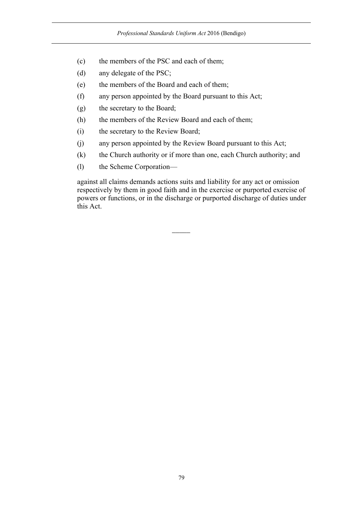- (c) the members of the PSC and each of them;
- (d) any delegate of the PSC;
- (e) the members of the Board and each of them;
- (f) any person appointed by the Board pursuant to this Act;
- (g) the secretary to the Board;
- (h) the members of the Review Board and each of them;
- (i) the secretary to the Review Board;
- (j) any person appointed by the Review Board pursuant to this Act;
- (k) the Church authority or if more than one, each Church authority; and
- (l) the Scheme Corporation—

against all claims demands actions suits and liability for any act or omission respectively by them in good faith and in the exercise or purported exercise of powers or functions, or in the discharge or purported discharge of duties under this Act.

 $\overline{\phantom{a}}$ 

79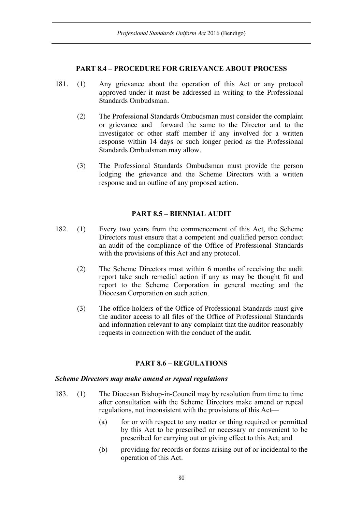#### **PART 8.4 – PROCEDURE FOR GRIEVANCE ABOUT PROCESS**

- 181. (1) Any grievance about the operation of this Act or any protocol approved under it must be addressed in writing to the Professional Standards Ombudsman.
	- (2) The Professional Standards Ombudsman must consider the complaint or grievance and forward the same to the Director and to the investigator or other staff member if any involved for a written response within 14 days or such longer period as the Professional Standards Ombudsman may allow.
	- (3) The Professional Standards Ombudsman must provide the person lodging the grievance and the Scheme Directors with a written response and an outline of any proposed action.

# **PART 8.5 – BIENNIAL AUDIT**

- 182. (1) Every two years from the commencement of this Act, the Scheme Directors must ensure that a competent and qualified person conduct an audit of the compliance of the Office of Professional Standards with the provisions of this Act and any protocol.
	- (2) The Scheme Directors must within 6 months of receiving the audit report take such remedial action if any as may be thought fit and report to the Scheme Corporation in general meeting and the Diocesan Corporation on such action.
	- (3) The office holders of the Office of Professional Standards must give the auditor access to all files of the Office of Professional Standards and information relevant to any complaint that the auditor reasonably requests in connection with the conduct of the audit.

# **PART 8.6 – REGULATIONS**

#### *Scheme Directors may make amend or repeal regulations*

- 183. (1) The Diocesan Bishop-in-Council may by resolution from time to time after consultation with the Scheme Directors make amend or repeal regulations, not inconsistent with the provisions of this Act—
	- (a) for or with respect to any matter or thing required or permitted by this Act to be prescribed or necessary or convenient to be prescribed for carrying out or giving effect to this Act; and
	- (b) providing for records or forms arising out of or incidental to the operation of this Act.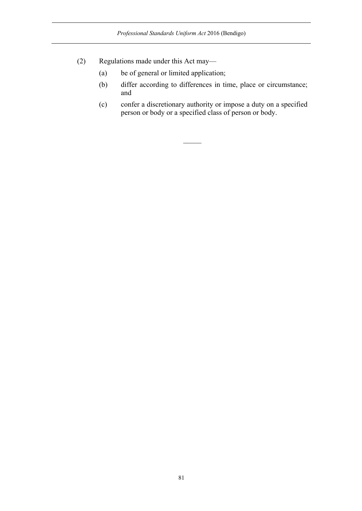- (2) Regulations made under this Act may—
	- (a) be of general or limited application;
	- (b) differ according to differences in time, place or circumstance; and
	- (c) confer a discretionary authority or impose a duty on a specified person or body or a specified class of person or body.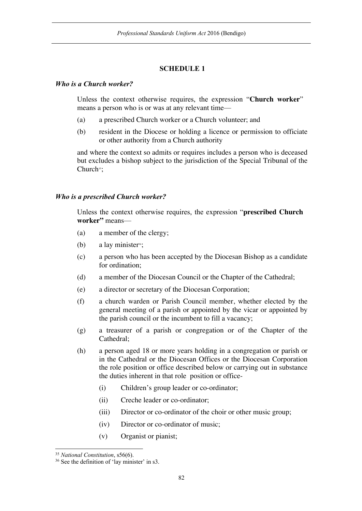# **SCHEDULE 1**

#### *Who is a Church worker?*

Unless the context otherwise requires, the expression "**Church worker**" means a person who is or was at any relevant time—

- (a) a prescribed Church worker or a Church volunteer; and
- (b) resident in the Diocese or holding a licence or permission to officiate or other authority from a Church authority

and where the context so admits or requires includes a person who is deceased but excludes a bishop subject to the jurisdiction of the Special Tribunal of the Church<sup>35</sup>:

#### *Who is a prescribed Church worker?*

Unless the context otherwise requires, the expression "**prescribed Church worker"** means—

- (a) a member of the clergy;
- (b) a lay minister<sup>36</sup>;
- (c) a person who has been accepted by the Diocesan Bishop as a candidate for ordination;
- (d) a member of the Diocesan Council or the Chapter of the Cathedral;
- (e) a director or secretary of the Diocesan Corporation;
- (f) a church warden or Parish Council member, whether elected by the general meeting of a parish or appointed by the vicar or appointed by the parish council or the incumbent to fill a vacancy;
- (g) a treasurer of a parish or congregation or of the Chapter of the Cathedral;
- (h) a person aged 18 or more years holding in a congregation or parish or in the Cathedral or the Diocesan Offices or the Diocesan Corporation the role position or office described below or carrying out in substance the duties inherent in that role position or office-
	- (i) Children's group leader or co-ordinator;
	- (ii) Creche leader or co-ordinator;
	- (iii) Director or co-ordinator of the choir or other music group;
	- (iv) Director or co-ordinator of music;
	- (v) Organist or pianist;

 <sup>35</sup> *National Constitution*, s56(6).

<sup>36</sup> See the definition of 'lay minister' in s3.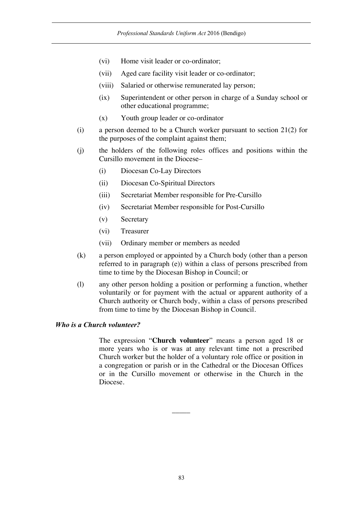- (vi) Home visit leader or co-ordinator;
- (vii) Aged care facility visit leader or co-ordinator;
- (viii) Salaried or otherwise remunerated lay person;
- (ix) Superintendent or other person in charge of a Sunday school or other educational programme;
- (x) Youth group leader or co-ordinator
- (i) a person deemed to be a Church worker pursuant to section 21(2) for the purposes of the complaint against them;
- (j) the holders of the following roles offices and positions within the Cursillo movement in the Diocese–
	- (i) Diocesan Co-Lay Directors
	- (ii) Diocesan Co-Spiritual Directors
	- (iii) Secretariat Member responsible for Pre-Cursillo
	- (iv) Secretariat Member responsible for Post-Cursillo
	- (v) Secretary
	- (vi) Treasurer
	- (vii) Ordinary member or members as needed
- (k) a person employed or appointed by a Church body (other than a person referred to in paragraph (e)) within a class of persons prescribed from time to time by the Diocesan Bishop in Council; or
- (l) any other person holding a position or performing a function, whether voluntarily or for payment with the actual or apparent authority of a Church authority or Church body, within a class of persons prescribed from time to time by the Diocesan Bishop in Council.

#### *Who is a Church volunteer?*

The expression "**Church volunteer**" means a person aged 18 or more years who is or was at any relevant time not a prescribed Church worker but the holder of a voluntary role office or position in a congregation or parish or in the Cathedral or the Diocesan Offices or in the Cursillo movement or otherwise in the Church in the Diocese.

 $\overline{\phantom{a}}$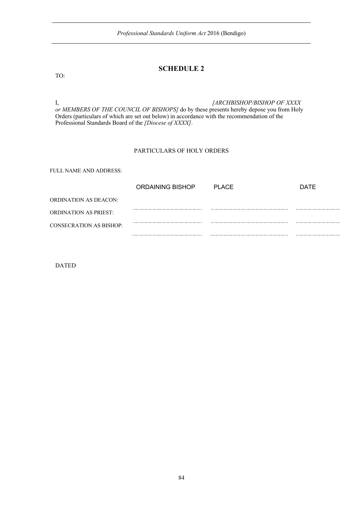## **SCHEDULE 2**

I, *[ARCHBISHOP/BISHOP OF XXXX or MEMBERS OF THE COUNCIL OF BISHOPS]* do by these presents hereby depose you from Holy Orders (particulars of which are set out below) in accordance with the recommendation of the Professional Standards Board of the *[Diocese of XXXX]*.

#### PARTICULARS OF HOLY ORDERS

FULL NAME AND ADDRESS:

|                              | ORDAINING BISHOP | PI ACF | DATE |
|------------------------------|------------------|--------|------|
| ORDINATION AS DEACON:        |                  |        |      |
| <b>ORDINATION AS PRIEST:</b> |                  |        |      |
| CONSECRATION AS BISHOP:      |                  |        |      |
|                              |                  |        |      |

DATED

TO: